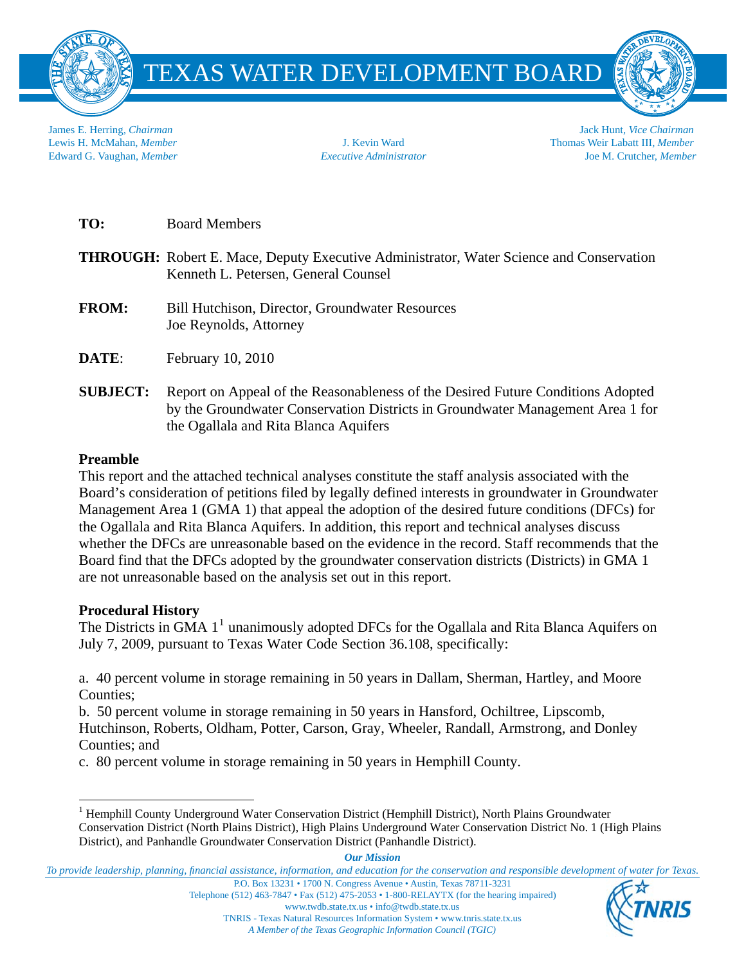

TEXAS WATER DEVELOPMENT BOARD

James E. Herring, *Chairman* Jack Hunt, *Vice Chairman* Lewis H. McMahan, *Member* J. Kevin Ward Thomas Weir Labatt III, *Member* Edward G. Vaughan, *Member Executive Administrator* Joe M. Crutcher, *Member*

**TO:** Board Members

- **THROUGH:** Robert E. Mace, Deputy Executive Administrator, Water Science and Conservation Kenneth L. Petersen, General Counsel
- **FROM:** Bill Hutchison, Director, Groundwater Resources Joe Reynolds, Attorney

**DATE:** February 10, 2010

**SUBJECT:** Report on Appeal of the Reasonableness of the Desired Future Conditions Adopted by the Groundwater Conservation Districts in Groundwater Management Area 1 for the Ogallala and Rita Blanca Aquifers

# **Preamble**

This report and the attached technical analyses constitute the staff analysis associated with the Board's consideration of petitions filed by legally defined interests in groundwater in Groundwater Management Area 1 (GMA 1) that appeal the adoption of the desired future conditions (DFCs) for the Ogallala and Rita Blanca Aquifers. In addition, this report and technical analyses discuss whether the DFCs are unreasonable based on the evidence in the record. Staff recommends that the Board find that the DFCs adopted by the groundwater conservation districts (Districts) in GMA 1 are not unreasonable based on the analysis set out in this report.

# **Procedural History**

The Districts in GMA  $1^1$  $1^1$  unanimously adopted DFCs for the Ogallala and Rita Blanca Aquifers on July 7, 2009, pursuant to Texas Water Code Section 36.108, specifically:

a. 40 percent volume in storage remaining in 50 years in Dallam, Sherman, Hartley, and Moore Counties;

b. 50 percent volume in storage remaining in 50 years in Hansford, Ochiltree, Lipscomb, Hutchinson, Roberts, Oldham, Potter, Carson, Gray, Wheeler, Randall, Armstrong, and Donley Counties; and

c. 80 percent volume in storage remaining in 50 years in Hemphill County.



<span id="page-0-0"></span> $\overline{a}$ <sup>1</sup> Hemphill County Underground Water Conservation District (Hemphill District), North Plains Groundwater Conservation District (North Plains District), High Plains Underground Water Conservation District No. 1 (High Plains District), and Panhandle Groundwater Conservation District (Panhandle District).

*Our Mission*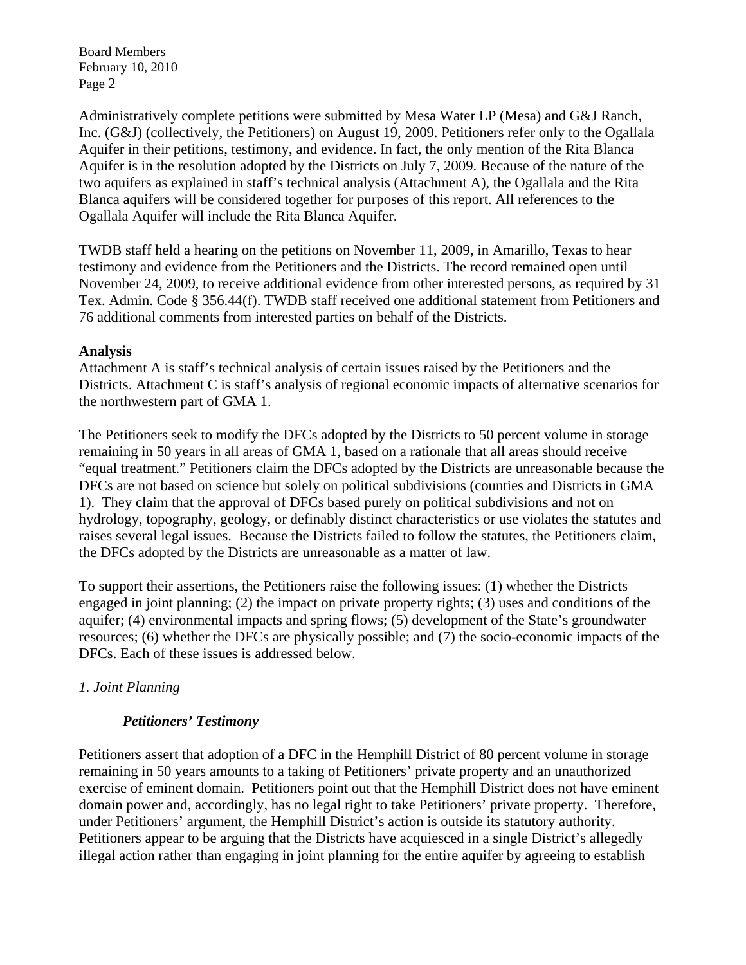Administratively complete petitions were submitted by Mesa Water LP (Mesa) and G&J Ranch, Inc. (G&J) (collectively, the Petitioners) on August 19, 2009. Petitioners refer only to the Ogallala Aquifer in their petitions, testimony, and evidence. In fact, the only mention of the Rita Blanca Aquifer is in the resolution adopted by the Districts on July 7, 2009. Because of the nature of the two aquifers as explained in staff's technical analysis (Attachment A), the Ogallala and the Rita Blanca aquifers will be considered together for purposes of this report. All references to the Ogallala Aquifer will include the Rita Blanca Aquifer.

TWDB staff held a hearing on the petitions on November 11, 2009, in Amarillo, Texas to hear testimony and evidence from the Petitioners and the Districts. The record remained open until November 24, 2009, to receive additional evidence from other interested persons, as required by 31 Tex. Admin. Code § 356.44(f). TWDB staff received one additional statement from Petitioners and 76 additional comments from interested parties on behalf of the Districts.

### **Analysis**

Attachment A is staff's technical analysis of certain issues raised by the Petitioners and the Districts. Attachment C is staff's analysis of regional economic impacts of alternative scenarios for the northwestern part of GMA 1.

The Petitioners seek to modify the DFCs adopted by the Districts to 50 percent volume in storage remaining in 50 years in all areas of GMA 1, based on a rationale that all areas should receive "equal treatment." Petitioners claim the DFCs adopted by the Districts are unreasonable because the DFCs are not based on science but solely on political subdivisions (counties and Districts in GMA 1). They claim that the approval of DFCs based purely on political subdivisions and not on hydrology, topography, geology, or definably distinct characteristics or use violates the statutes and raises several legal issues. Because the Districts failed to follow the statutes, the Petitioners claim, the DFCs adopted by the Districts are unreasonable as a matter of law.

To support their assertions, the Petitioners raise the following issues: (1) whether the Districts engaged in joint planning; (2) the impact on private property rights; (3) uses and conditions of the aquifer; (4) environmental impacts and spring flows; (5) development of the State's groundwater resources; (6) whether the DFCs are physically possible; and (7) the socio-economic impacts of the DFCs. Each of these issues is addressed below.

# *1. Joint Planning*

### *Petitioners' Testimony*

Petitioners assert that adoption of a DFC in the Hemphill District of 80 percent volume in storage remaining in 50 years amounts to a taking of Petitioners' private property and an unauthorized exercise of eminent domain. Petitioners point out that the Hemphill District does not have eminent domain power and, accordingly, has no legal right to take Petitioners' private property. Therefore, under Petitioners' argument, the Hemphill District's action is outside its statutory authority. Petitioners appear to be arguing that the Districts have acquiesced in a single District's allegedly illegal action rather than engaging in joint planning for the entire aquifer by agreeing to establish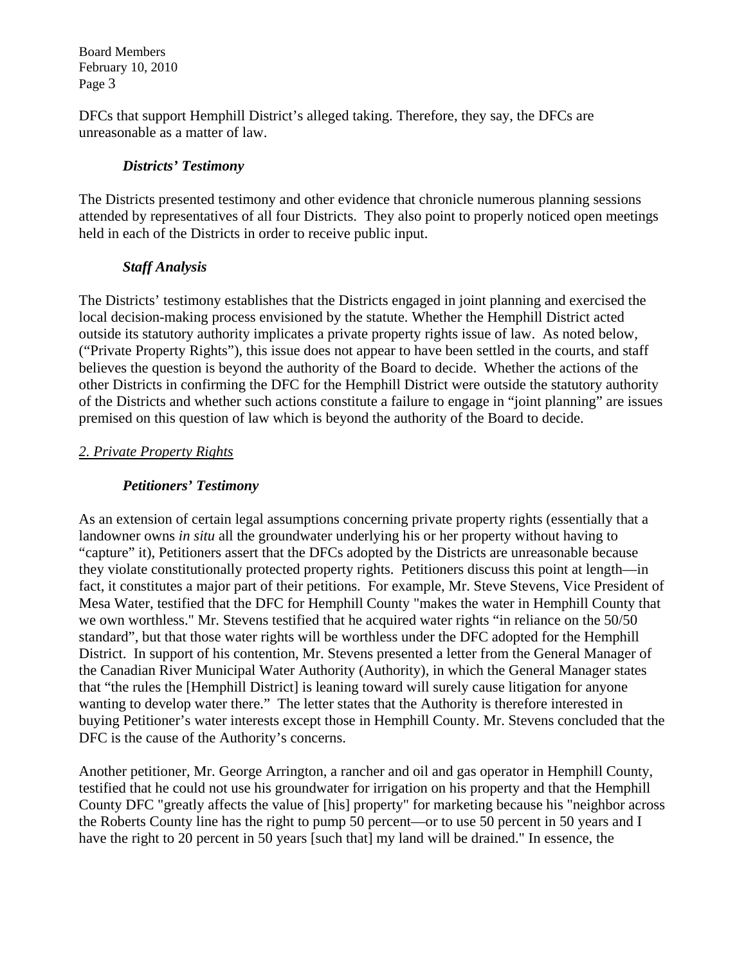DFCs that support Hemphill District's alleged taking. Therefore, they say, the DFCs are unreasonable as a matter of law.

# *Districts' Testimony*

The Districts presented testimony and other evidence that chronicle numerous planning sessions attended by representatives of all four Districts. They also point to properly noticed open meetings held in each of the Districts in order to receive public input.

# *Staff Analysis*

The Districts' testimony establishes that the Districts engaged in joint planning and exercised the local decision-making process envisioned by the statute. Whether the Hemphill District acted outside its statutory authority implicates a private property rights issue of law. As noted below, ("Private Property Rights"), this issue does not appear to have been settled in the courts, and staff believes the question is beyond the authority of the Board to decide. Whether the actions of the other Districts in confirming the DFC for the Hemphill District were outside the statutory authority of the Districts and whether such actions constitute a failure to engage in "joint planning" are issues premised on this question of law which is beyond the authority of the Board to decide.

# *2. Private Property Rights*

# *Petitioners' Testimony*

As an extension of certain legal assumptions concerning private property rights (essentially that a landowner owns *in situ* all the groundwater underlying his or her property without having to "capture" it), Petitioners assert that the DFCs adopted by the Districts are unreasonable because they violate constitutionally protected property rights. Petitioners discuss this point at length—in fact, it constitutes a major part of their petitions. For example, Mr. Steve Stevens, Vice President of Mesa Water, testified that the DFC for Hemphill County "makes the water in Hemphill County that we own worthless." Mr. Stevens testified that he acquired water rights "in reliance on the 50/50 standard", but that those water rights will be worthless under the DFC adopted for the Hemphill District. In support of his contention, Mr. Stevens presented a letter from the General Manager of the Canadian River Municipal Water Authority (Authority), in which the General Manager states that "the rules the [Hemphill District] is leaning toward will surely cause litigation for anyone wanting to develop water there." The letter states that the Authority is therefore interested in buying Petitioner's water interests except those in Hemphill County. Mr. Stevens concluded that the DFC is the cause of the Authority's concerns.

Another petitioner, Mr. George Arrington, a rancher and oil and gas operator in Hemphill County, testified that he could not use his groundwater for irrigation on his property and that the Hemphill County DFC "greatly affects the value of [his] property" for marketing because his "neighbor across the Roberts County line has the right to pump 50 percent—or to use 50 percent in 50 years and I have the right to 20 percent in 50 years [such that] my land will be drained." In essence, the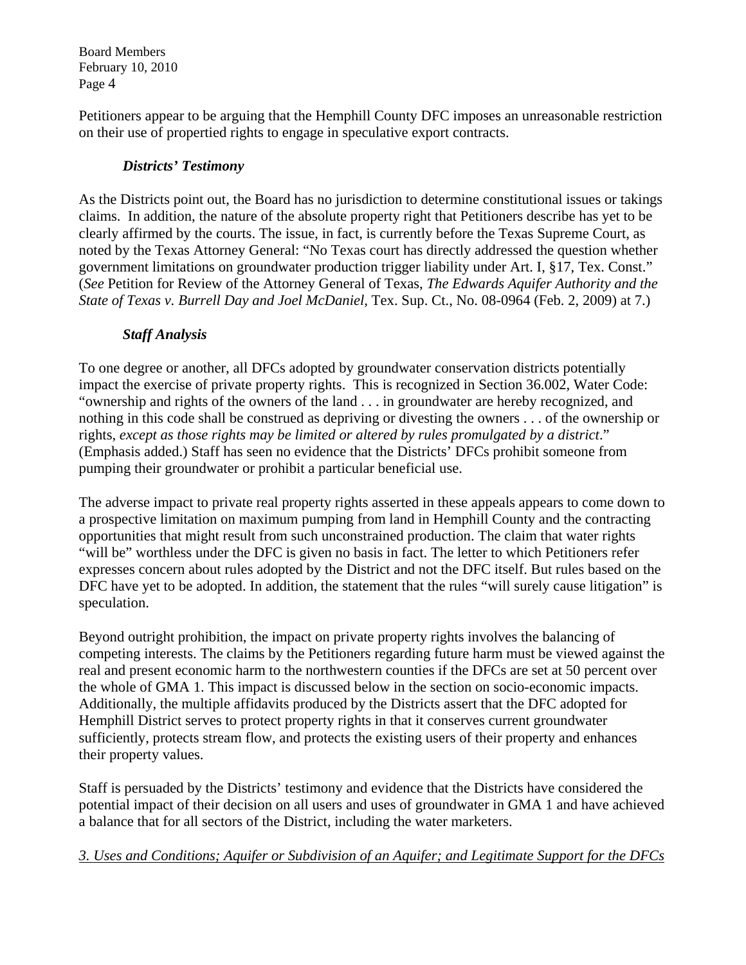Petitioners appear to be arguing that the Hemphill County DFC imposes an unreasonable restriction on their use of propertied rights to engage in speculative export contracts.

# *Districts' Testimony*

As the Districts point out, the Board has no jurisdiction to determine constitutional issues or takings claims. In addition, the nature of the absolute property right that Petitioners describe has yet to be clearly affirmed by the courts. The issue, in fact, is currently before the Texas Supreme Court, as noted by the Texas Attorney General: "No Texas court has directly addressed the question whether government limitations on groundwater production trigger liability under Art. I, §17, Tex. Const." (*See* Petition for Review of the Attorney General of Texas, *The Edwards Aquifer Authority and the State of Texas v. Burrell Day and Joel McDaniel,* Tex. Sup. Ct., No. 08-0964 (Feb. 2, 2009) at 7.)

# *Staff Analysis*

To one degree or another, all DFCs adopted by groundwater conservation districts potentially impact the exercise of private property rights. This is recognized in Section 36.002, Water Code: "ownership and rights of the owners of the land . . . in groundwater are hereby recognized, and nothing in this code shall be construed as depriving or divesting the owners . . . of the ownership or rights, *except as those rights may be limited or altered by rules promulgated by a district*." (Emphasis added.) Staff has seen no evidence that the Districts' DFCs prohibit someone from pumping their groundwater or prohibit a particular beneficial use.

The adverse impact to private real property rights asserted in these appeals appears to come down to a prospective limitation on maximum pumping from land in Hemphill County and the contracting opportunities that might result from such unconstrained production. The claim that water rights "will be" worthless under the DFC is given no basis in fact. The letter to which Petitioners refer expresses concern about rules adopted by the District and not the DFC itself. But rules based on the DFC have yet to be adopted. In addition, the statement that the rules "will surely cause litigation" is speculation.

Beyond outright prohibition, the impact on private property rights involves the balancing of competing interests. The claims by the Petitioners regarding future harm must be viewed against the real and present economic harm to the northwestern counties if the DFCs are set at 50 percent over the whole of GMA 1. This impact is discussed below in the section on socio-economic impacts. Additionally, the multiple affidavits produced by the Districts assert that the DFC adopted for Hemphill District serves to protect property rights in that it conserves current groundwater sufficiently, protects stream flow, and protects the existing users of their property and enhances their property values.

Staff is persuaded by the Districts' testimony and evidence that the Districts have considered the potential impact of their decision on all users and uses of groundwater in GMA 1 and have achieved a balance that for all sectors of the District, including the water marketers.

*3. Uses and Conditions; Aquifer or Subdivision of an Aquifer; and Legitimate Support for the DFCs*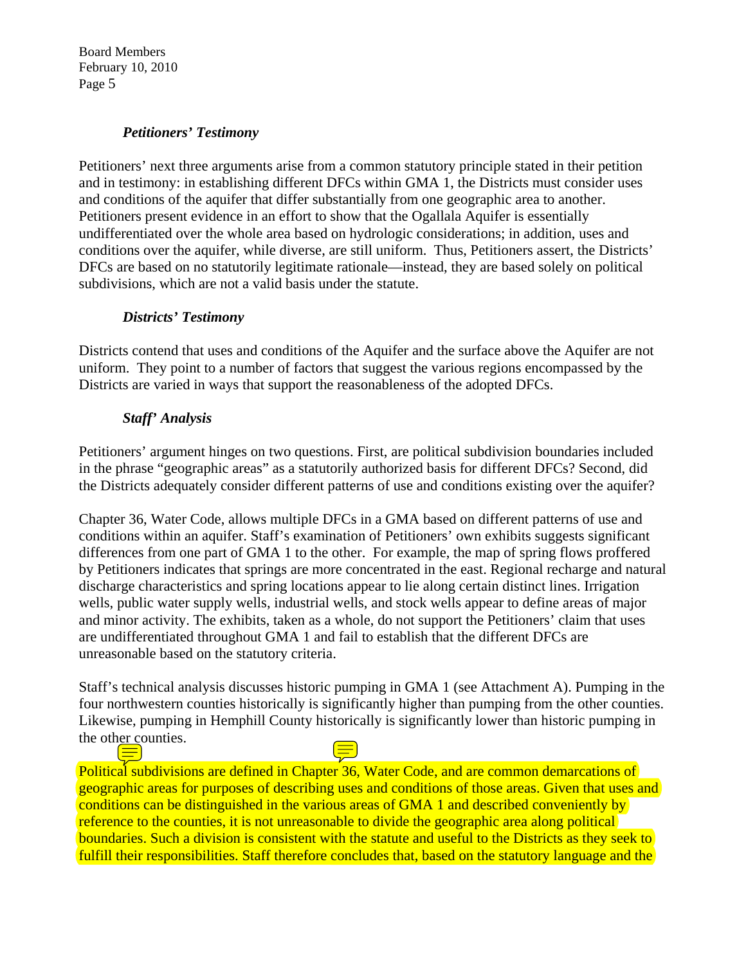## *Petitioners' Testimony*

Petitioners' next three arguments arise from a common statutory principle stated in their petition and in testimony: in establishing different DFCs within GMA 1, the Districts must consider uses and conditions of the aquifer that differ substantially from one geographic area to another. Petitioners present evidence in an effort to show that the Ogallala Aquifer is essentially undifferentiated over the whole area based on hydrologic considerations; in addition, uses and conditions over the aquifer, while diverse, are still uniform. Thus, Petitioners assert, the Districts' DFCs are based on no statutorily legitimate rationale—instead, they are based solely on political subdivisions, which are not a valid basis under the statute.

## *Districts' Testimony*

Districts contend that uses and conditions of the Aquifer and the surface above the Aquifer are not uniform. They point to a number of factors that suggest the various regions encompassed by the Districts are varied in ways that support the reasonableness of the adopted DFCs.

# *Staff' Analysis*

Petitioners' argument hinges on two questions. First, are political subdivision boundaries included in the phrase "geographic areas" as a statutorily authorized basis for different DFCs? Second, did the Districts adequately consider different patterns of use and conditions existing over the aquifer?

Chapter 36, Water Code, allows multiple DFCs in a GMA based on different patterns of use and conditions within an aquifer. Staff's examination of Petitioners' own exhibits suggests significant differences from one part of GMA 1 to the other. For example, the map of spring flows proffered by Petitioners indicates that springs are more concentrated in the east. Regional recharge and natural discharge characteristics and spring locations appear to lie along certain distinct lines. Irrigation wells, public water supply wells, industrial wells, and stock wells appear to define areas of major and minor activity. The exhibits, taken as a whole, do not support the Petitioners' claim that uses are undifferentiated throughout GMA 1 and fail to establish that the different DFCs are unreasonable based on the statutory criteria.

Staff's technical analysis discusses historic pumping in GMA 1 (see Attachment A). Pumping in the four northwestern counties historically is significantly higher than pumping from the other counties. Likewise, pumping in Hemphill County historically is significantly lower than historic pumping in the other counties. <u>|=</u>

Political subdivisions are defined in Chapter 36, Water Code, and are common demarcations of geographic areas for purposes of describing uses and conditions of those areas. Given that uses and conditions can be distinguished in the various areas of GMA 1 and described conveniently by reference to the counties, it is not unreasonable to divide the geographic area along political boundaries. Such a division is consistent with the statute and useful to the Districts as they seek to fulfill their responsibilities. Staff therefore concludes that, based on the statutory language and the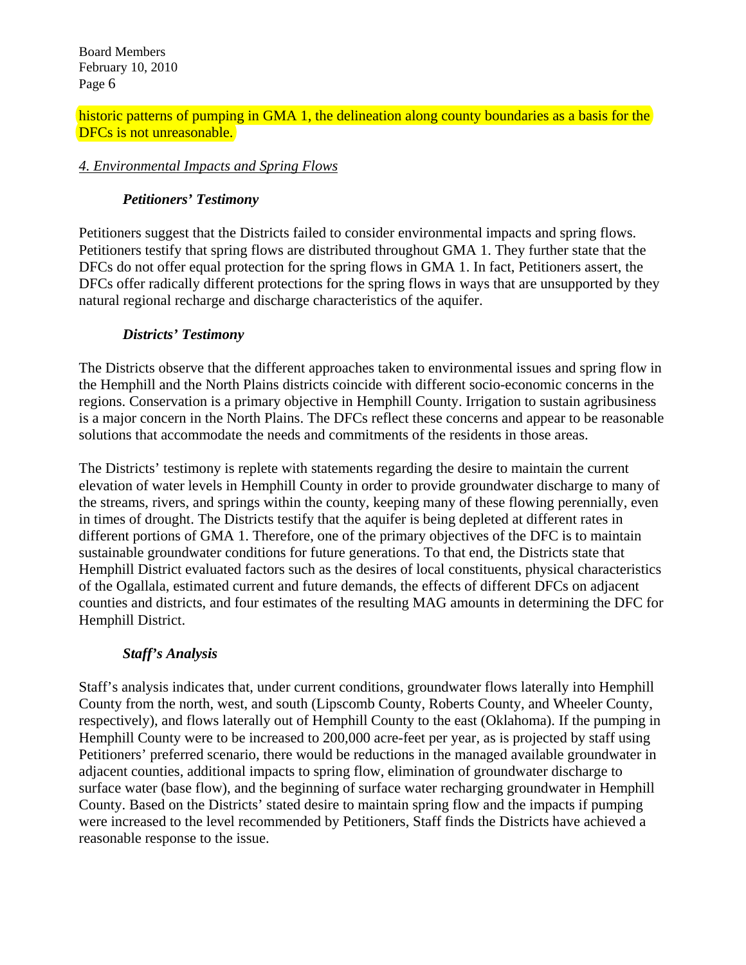historic patterns of pumping in GMA 1, the delineation along county boundaries as a basis for the DFCs is not unreasonable.

# *4. Environmental Impacts and Spring Flows*

# *Petitioners' Testimony*

Petitioners suggest that the Districts failed to consider environmental impacts and spring flows. Petitioners testify that spring flows are distributed throughout GMA 1. They further state that the DFCs do not offer equal protection for the spring flows in GMA 1. In fact, Petitioners assert, the DFCs offer radically different protections for the spring flows in ways that are unsupported by they natural regional recharge and discharge characteristics of the aquifer.

## *Districts' Testimony*

The Districts observe that the different approaches taken to environmental issues and spring flow in the Hemphill and the North Plains districts coincide with different socio-economic concerns in the regions. Conservation is a primary objective in Hemphill County. Irrigation to sustain agribusiness is a major concern in the North Plains. The DFCs reflect these concerns and appear to be reasonable solutions that accommodate the needs and commitments of the residents in those areas.

The Districts' testimony is replete with statements regarding the desire to maintain the current elevation of water levels in Hemphill County in order to provide groundwater discharge to many of the streams, rivers, and springs within the county, keeping many of these flowing perennially, even in times of drought. The Districts testify that the aquifer is being depleted at different rates in different portions of GMA 1. Therefore, one of the primary objectives of the DFC is to maintain sustainable groundwater conditions for future generations. To that end, the Districts state that Hemphill District evaluated factors such as the desires of local constituents, physical characteristics of the Ogallala, estimated current and future demands, the effects of different DFCs on adjacent counties and districts, and four estimates of the resulting MAG amounts in determining the DFC for Hemphill District.

# *Staff's Analysis*

Staff's analysis indicates that, under current conditions, groundwater flows laterally into Hemphill County from the north, west, and south (Lipscomb County, Roberts County, and Wheeler County, respectively), and flows laterally out of Hemphill County to the east (Oklahoma). If the pumping in Hemphill County were to be increased to 200,000 acre-feet per year, as is projected by staff using Petitioners' preferred scenario, there would be reductions in the managed available groundwater in adjacent counties, additional impacts to spring flow, elimination of groundwater discharge to surface water (base flow), and the beginning of surface water recharging groundwater in Hemphill County. Based on the Districts' stated desire to maintain spring flow and the impacts if pumping were increased to the level recommended by Petitioners, Staff finds the Districts have achieved a reasonable response to the issue.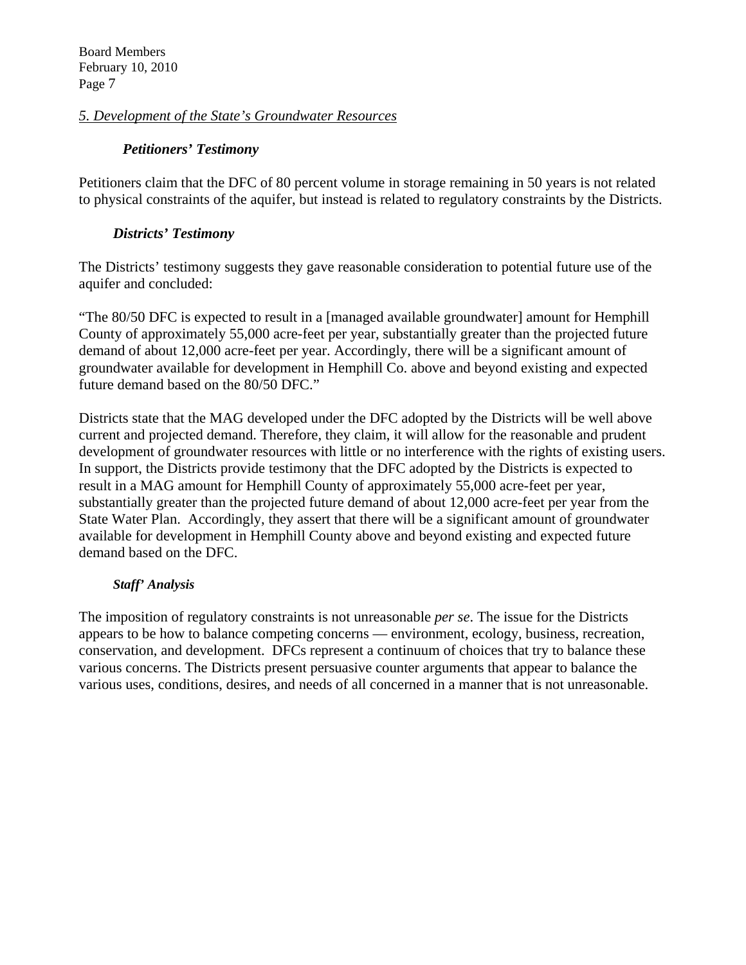# *5. Development of the State's Groundwater Resources*

## *Petitioners' Testimony*

Petitioners claim that the DFC of 80 percent volume in storage remaining in 50 years is not related to physical constraints of the aquifer, but instead is related to regulatory constraints by the Districts.

# *Districts' Testimony*

The Districts' testimony suggests they gave reasonable consideration to potential future use of the aquifer and concluded:

"The 80/50 DFC is expected to result in a [managed available groundwater] amount for Hemphill County of approximately 55,000 acre-feet per year, substantially greater than the projected future demand of about 12,000 acre-feet per year. Accordingly, there will be a significant amount of groundwater available for development in Hemphill Co. above and beyond existing and expected future demand based on the 80/50 DFC."

Districts state that the MAG developed under the DFC adopted by the Districts will be well above current and projected demand. Therefore, they claim, it will allow for the reasonable and prudent development of groundwater resources with little or no interference with the rights of existing users. In support, the Districts provide testimony that the DFC adopted by the Districts is expected to result in a MAG amount for Hemphill County of approximately 55,000 acre-feet per year, substantially greater than the projected future demand of about 12,000 acre-feet per year from the State Water Plan. Accordingly, they assert that there will be a significant amount of groundwater available for development in Hemphill County above and beyond existing and expected future demand based on the DFC.

### *Staff' Analysis*

The imposition of regulatory constraints is not unreasonable *per se*. The issue for the Districts appears to be how to balance competing concerns — environment, ecology, business, recreation, conservation, and development. DFCs represent a continuum of choices that try to balance these various concerns. The Districts present persuasive counter arguments that appear to balance the various uses, conditions, desires, and needs of all concerned in a manner that is not unreasonable.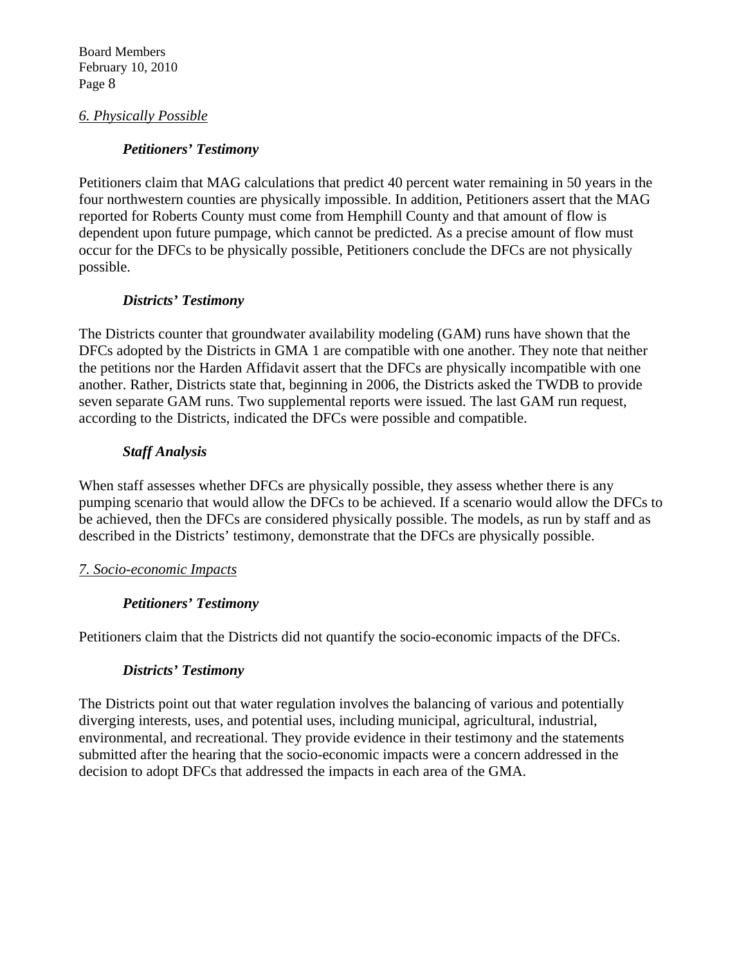# *6. Physically Possible*

# *Petitioners' Testimony*

Petitioners claim that MAG calculations that predict 40 percent water remaining in 50 years in the four northwestern counties are physically impossible. In addition, Petitioners assert that the MAG reported for Roberts County must come from Hemphill County and that amount of flow is dependent upon future pumpage, which cannot be predicted. As a precise amount of flow must occur for the DFCs to be physically possible, Petitioners conclude the DFCs are not physically possible.

# *Districts' Testimony*

The Districts counter that groundwater availability modeling (GAM) runs have shown that the DFCs adopted by the Districts in GMA 1 are compatible with one another. They note that neither the petitions nor the Harden Affidavit assert that the DFCs are physically incompatible with one another. Rather, Districts state that, beginning in 2006, the Districts asked the TWDB to provide seven separate GAM runs. Two supplemental reports were issued. The last GAM run request, according to the Districts, indicated the DFCs were possible and compatible.

# *Staff Analysis*

When staff assesses whether DFCs are physically possible, they assess whether there is any pumping scenario that would allow the DFCs to be achieved. If a scenario would allow the DFCs to be achieved, then the DFCs are considered physically possible. The models, as run by staff and as described in the Districts' testimony, demonstrate that the DFCs are physically possible.

# *7. Socio-economic Impacts*

# *Petitioners' Testimony*

Petitioners claim that the Districts did not quantify the socio-economic impacts of the DFCs.

# *Districts' Testimony*

The Districts point out that water regulation involves the balancing of various and potentially diverging interests, uses, and potential uses, including municipal, agricultural, industrial, environmental, and recreational. They provide evidence in their testimony and the statements submitted after the hearing that the socio-economic impacts were a concern addressed in the decision to adopt DFCs that addressed the impacts in each area of the GMA.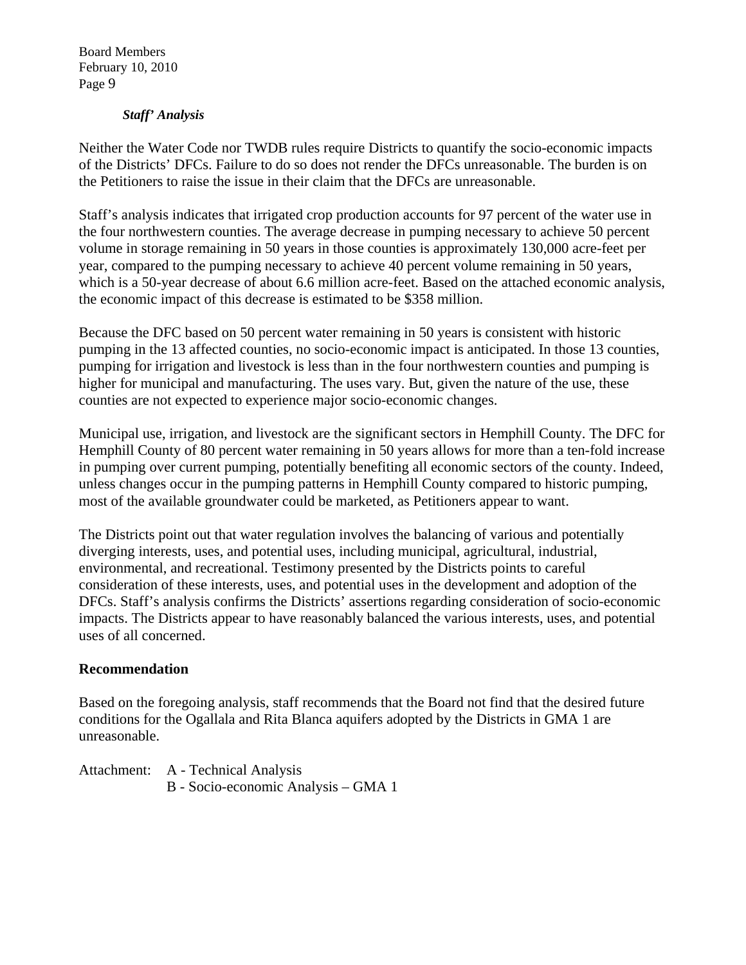### *Staff' Analysis*

Neither the Water Code nor TWDB rules require Districts to quantify the socio-economic impacts of the Districts' DFCs. Failure to do so does not render the DFCs unreasonable. The burden is on the Petitioners to raise the issue in their claim that the DFCs are unreasonable.

Staff's analysis indicates that irrigated crop production accounts for 97 percent of the water use in the four northwestern counties. The average decrease in pumping necessary to achieve 50 percent volume in storage remaining in 50 years in those counties is approximately 130,000 acre-feet per year, compared to the pumping necessary to achieve 40 percent volume remaining in 50 years, which is a 50-year decrease of about 6.6 million acre-feet. Based on the attached economic analysis, the economic impact of this decrease is estimated to be \$358 million.

Because the DFC based on 50 percent water remaining in 50 years is consistent with historic pumping in the 13 affected counties, no socio-economic impact is anticipated. In those 13 counties, pumping for irrigation and livestock is less than in the four northwestern counties and pumping is higher for municipal and manufacturing. The uses vary. But, given the nature of the use, these counties are not expected to experience major socio-economic changes.

Municipal use, irrigation, and livestock are the significant sectors in Hemphill County. The DFC for Hemphill County of 80 percent water remaining in 50 years allows for more than a ten-fold increase in pumping over current pumping, potentially benefiting all economic sectors of the county. Indeed, unless changes occur in the pumping patterns in Hemphill County compared to historic pumping, most of the available groundwater could be marketed, as Petitioners appear to want.

The Districts point out that water regulation involves the balancing of various and potentially diverging interests, uses, and potential uses, including municipal, agricultural, industrial, environmental, and recreational. Testimony presented by the Districts points to careful consideration of these interests, uses, and potential uses in the development and adoption of the DFCs. Staff's analysis confirms the Districts' assertions regarding consideration of socio-economic impacts. The Districts appear to have reasonably balanced the various interests, uses, and potential uses of all concerned.

#### **Recommendation**

Based on the foregoing analysis, staff recommends that the Board not find that the desired future conditions for the Ogallala and Rita Blanca aquifers adopted by the Districts in GMA 1 are unreasonable.

Attachment: A - Technical Analysis B - Socio-economic Analysis – GMA 1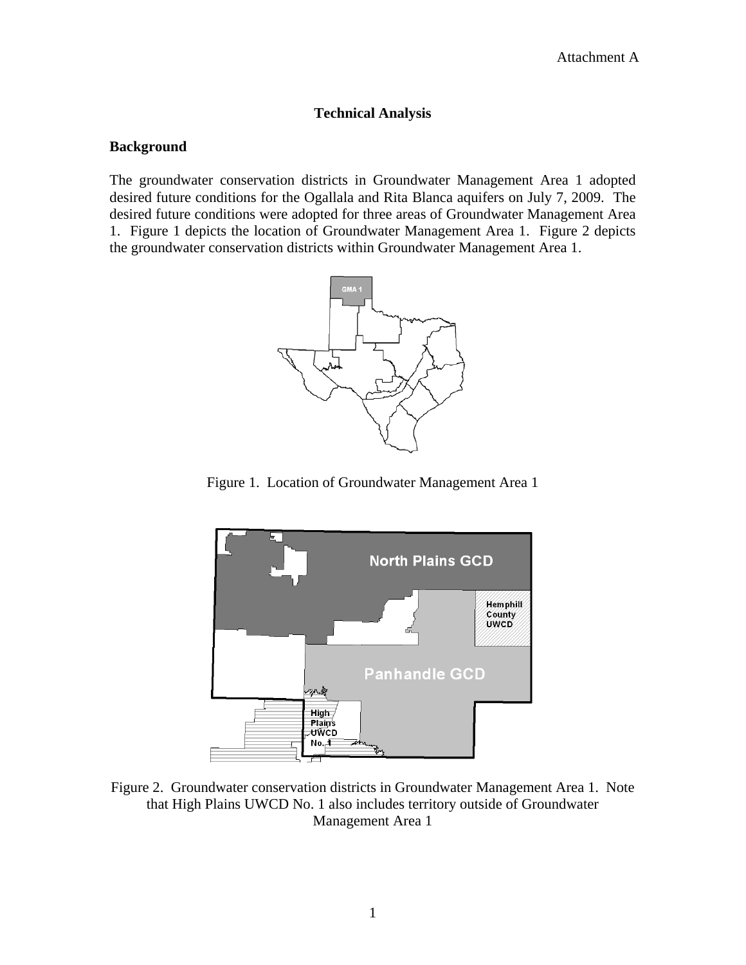### **Technical Analysis**

#### **Background**

The groundwater conservation districts in Groundwater Management Area 1 adopted desired future conditions for the Ogallala and Rita Blanca aquifers on July 7, 2009. The desired future conditions were adopted for three areas of Groundwater Management Area 1. Figure 1 depicts the location of Groundwater Management Area 1. Figure 2 depicts the groundwater conservation districts within Groundwater Management Area 1.



Figure 1. Location of Groundwater Management Area 1



Figure 2. Groundwater conservation districts in Groundwater Management Area 1. Note that High Plains UWCD No. 1 also includes territory outside of Groundwater Management Area 1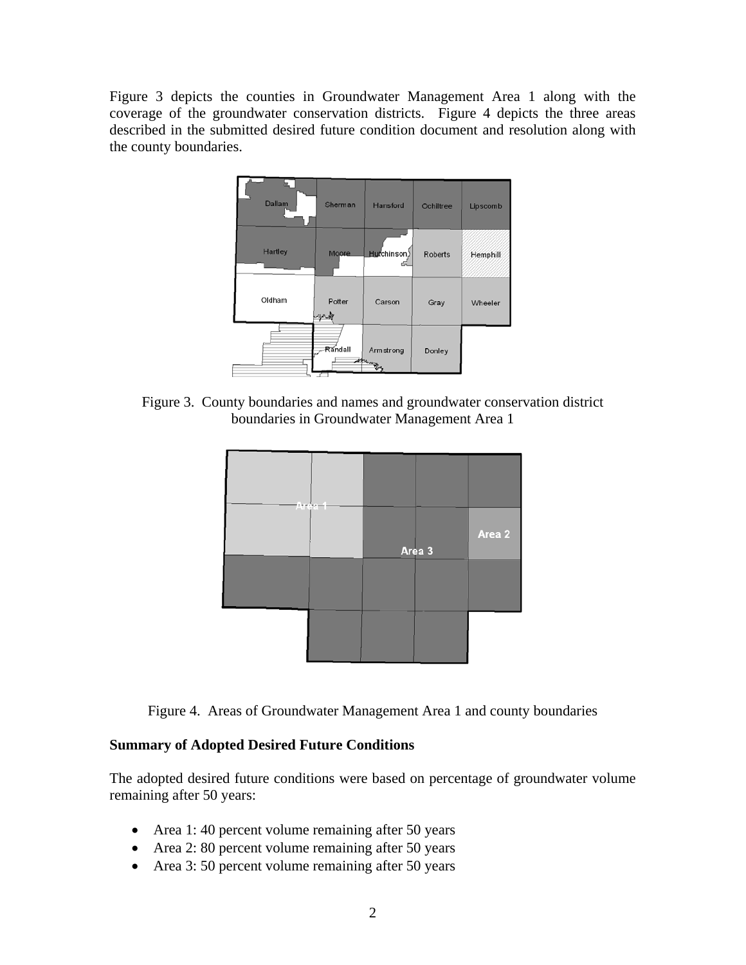Figure 3 depicts the counties in Groundwater Management Area 1 along with the coverage of the groundwater conservation districts. Figure 4 depicts the three areas described in the submitted desired future condition document and resolution along with the county boundaries.



Figure 3. County boundaries and names and groundwater conservation district boundaries in Groundwater Management Area 1



Figure 4. Areas of Groundwater Management Area 1 and county boundaries

# **Summary of Adopted Desired Future Conditions**

The adopted desired future conditions were based on percentage of groundwater volume remaining after 50 years:

- Area 1:40 percent volume remaining after 50 years
- Area 2: 80 percent volume remaining after 50 years
- Area 3: 50 percent volume remaining after 50 years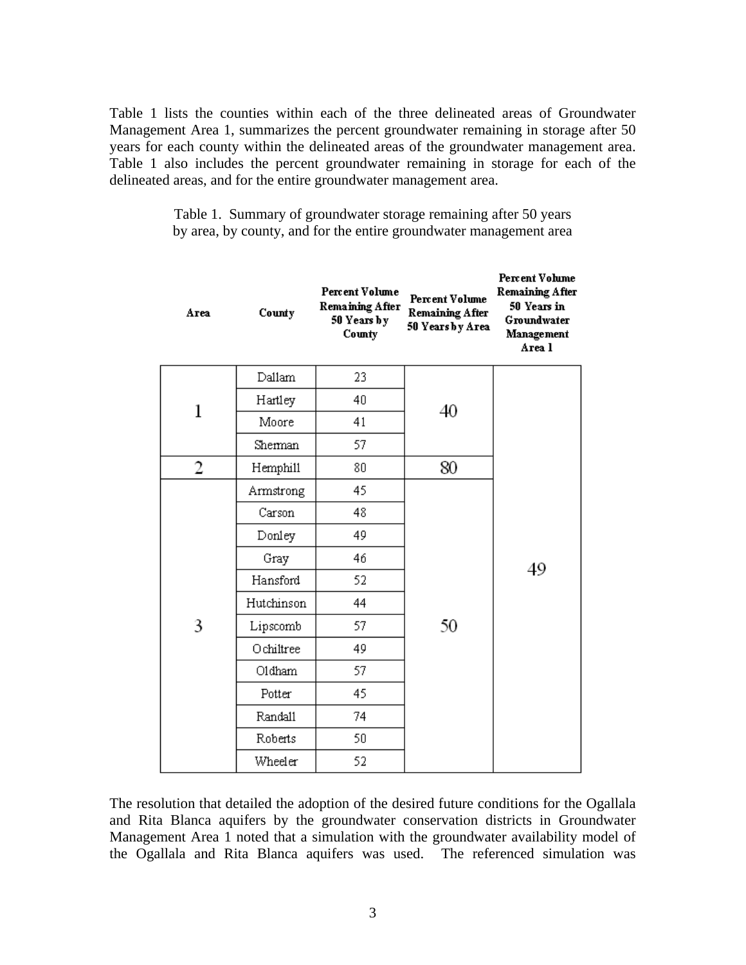Table 1 lists the counties within each of the three delineated areas of Groundwater Management Area 1, summarizes the percent groundwater remaining in storage after 50 years for each county within the delineated areas of the groundwater management area. Table 1 also includes the percent groundwater remaining in storage for each of the delineated areas, and for the entire groundwater management area.

| Area | County     | Percent Volume<br>Remaining After<br>50 Years by<br>County | <b>Percent Volume</b><br>Remaining After<br>50 Years by Area | <b>Percent Volume</b><br><b>Remaining After</b><br>50 Years in<br>Groundwater<br>Management<br>Area l |  |
|------|------------|------------------------------------------------------------|--------------------------------------------------------------|-------------------------------------------------------------------------------------------------------|--|
|      | Dallam     | 23                                                         |                                                              |                                                                                                       |  |
|      | Hartley    | 40                                                         | 40                                                           |                                                                                                       |  |
| 1    | Moore      | 41                                                         |                                                              |                                                                                                       |  |
|      | Sherman    | 57.                                                        |                                                              |                                                                                                       |  |
| 2    | Hemphill   | 80                                                         | 80                                                           |                                                                                                       |  |
|      | Armstrong  | 45                                                         |                                                              |                                                                                                       |  |
|      | Carson     | 48                                                         |                                                              |                                                                                                       |  |
|      | Donley     | 49                                                         |                                                              |                                                                                                       |  |
|      | Gray       | 46                                                         |                                                              | 49                                                                                                    |  |
|      | Hansford   | 52                                                         |                                                              |                                                                                                       |  |
|      | Hutchinson | 44                                                         |                                                              |                                                                                                       |  |
| 3    | Lipscomb   | 57.                                                        | 50                                                           |                                                                                                       |  |
|      | Ochiltree  | 49                                                         |                                                              |                                                                                                       |  |
|      | O1dham     | 57.                                                        |                                                              |                                                                                                       |  |
|      | Potter     | 45                                                         |                                                              |                                                                                                       |  |
|      | Randall    | 74                                                         |                                                              |                                                                                                       |  |
|      | Roberts    | 50                                                         |                                                              |                                                                                                       |  |

Table 1. Summary of groundwater storage remaining after 50 years by area, by county, and for the entire groundwater management area

The resolution that detailed the adoption of the desired future conditions for the Ogallala and Rita Blanca aquifers by the groundwater conservation districts in Groundwater Management Area 1 noted that a simulation with the groundwater availability model of the Ogallala and Rita Blanca aquifers was used. The referenced simulation was

52

Wheeler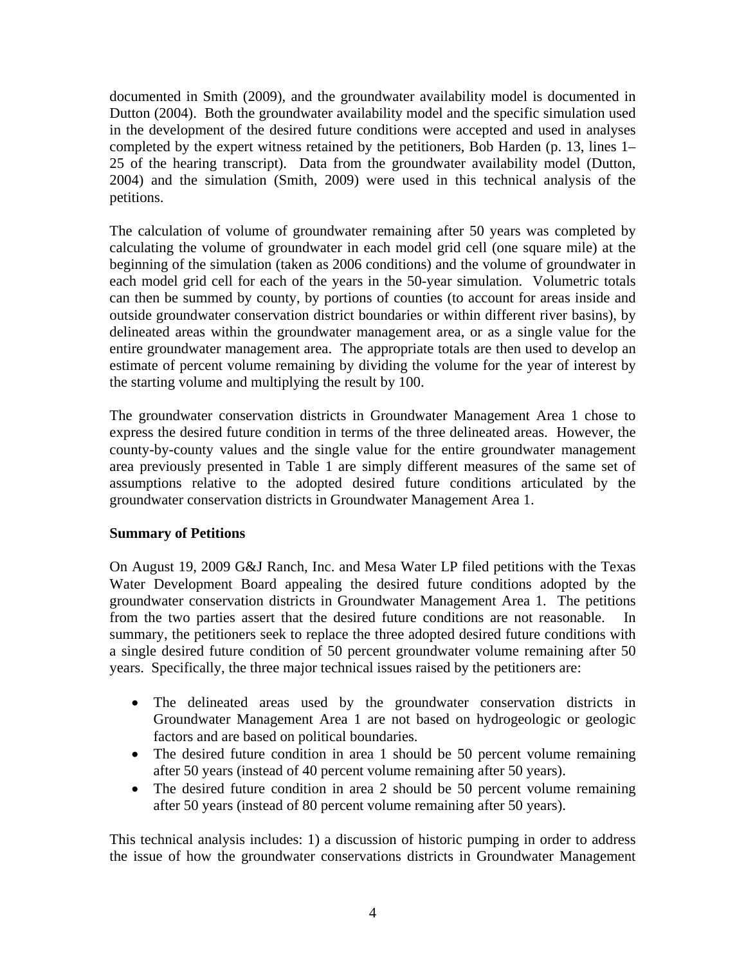documented in Smith (2009), and the groundwater availability model is documented in Dutton (2004). Both the groundwater availability model and the specific simulation used in the development of the desired future conditions were accepted and used in analyses completed by the expert witness retained by the petitioners, Bob Harden (p. 13, lines 1– 25 of the hearing transcript). Data from the groundwater availability model (Dutton, 2004) and the simulation (Smith, 2009) were used in this technical analysis of the petitions.

The calculation of volume of groundwater remaining after 50 years was completed by calculating the volume of groundwater in each model grid cell (one square mile) at the beginning of the simulation (taken as 2006 conditions) and the volume of groundwater in each model grid cell for each of the years in the 50-year simulation. Volumetric totals can then be summed by county, by portions of counties (to account for areas inside and outside groundwater conservation district boundaries or within different river basins), by delineated areas within the groundwater management area, or as a single value for the entire groundwater management area. The appropriate totals are then used to develop an estimate of percent volume remaining by dividing the volume for the year of interest by the starting volume and multiplying the result by 100.

The groundwater conservation districts in Groundwater Management Area 1 chose to express the desired future condition in terms of the three delineated areas. However, the county-by-county values and the single value for the entire groundwater management area previously presented in Table 1 are simply different measures of the same set of assumptions relative to the adopted desired future conditions articulated by the groundwater conservation districts in Groundwater Management Area 1.

### **Summary of Petitions**

On August 19, 2009 G&J Ranch, Inc. and Mesa Water LP filed petitions with the Texas Water Development Board appealing the desired future conditions adopted by the groundwater conservation districts in Groundwater Management Area 1. The petitions from the two parties assert that the desired future conditions are not reasonable. In summary, the petitioners seek to replace the three adopted desired future conditions with a single desired future condition of 50 percent groundwater volume remaining after 50 years. Specifically, the three major technical issues raised by the petitioners are:

- The delineated areas used by the groundwater conservation districts in Groundwater Management Area 1 are not based on hydrogeologic or geologic factors and are based on political boundaries.
- The desired future condition in area 1 should be 50 percent volume remaining after 50 years (instead of 40 percent volume remaining after 50 years).
- The desired future condition in area 2 should be 50 percent volume remaining after 50 years (instead of 80 percent volume remaining after 50 years).

This technical analysis includes: 1) a discussion of historic pumping in order to address the issue of how the groundwater conservations districts in Groundwater Management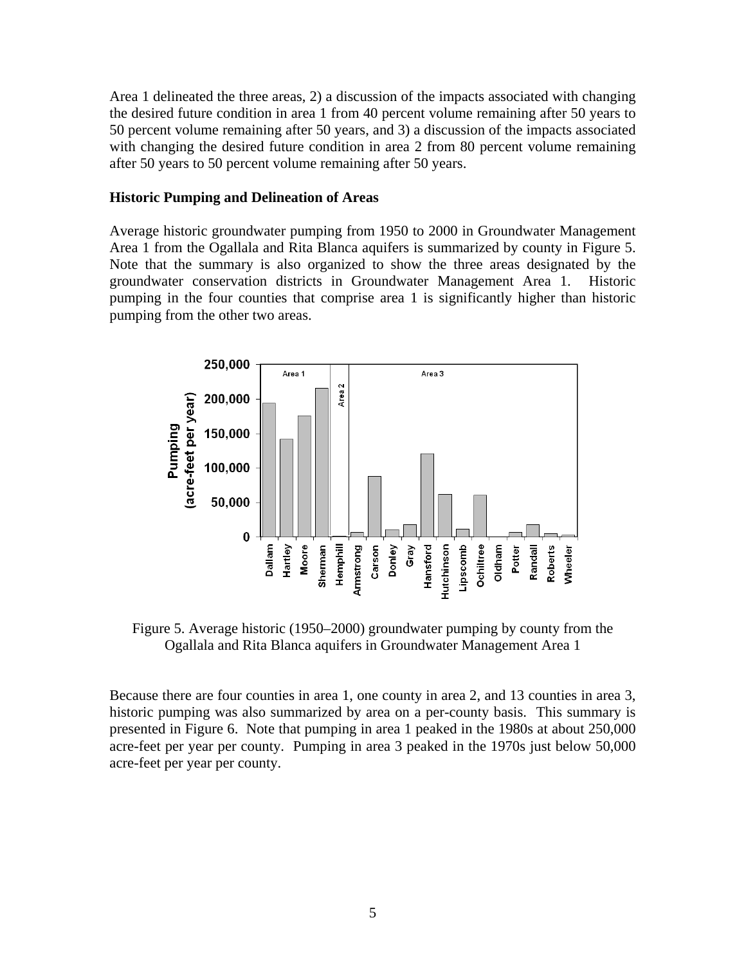Area 1 delineated the three areas, 2) a discussion of the impacts associated with changing the desired future condition in area 1 from 40 percent volume remaining after 50 years to 50 percent volume remaining after 50 years, and 3) a discussion of the impacts associated with changing the desired future condition in area 2 from 80 percent volume remaining after 50 years to 50 percent volume remaining after 50 years.

#### **Historic Pumping and Delineation of Areas**

Average historic groundwater pumping from 1950 to 2000 in Groundwater Management Area 1 from the Ogallala and Rita Blanca aquifers is summarized by county in Figure 5. Note that the summary is also organized to show the three areas designated by the groundwater conservation districts in Groundwater Management Area 1. Historic pumping in the four counties that comprise area 1 is significantly higher than historic pumping from the other two areas.



Figure 5. Average historic (1950–2000) groundwater pumping by county from the Ogallala and Rita Blanca aquifers in Groundwater Management Area 1

Because there are four counties in area 1, one county in area 2, and 13 counties in area 3, historic pumping was also summarized by area on a per-county basis. This summary is presented in Figure 6. Note that pumping in area 1 peaked in the 1980s at about 250,000 acre-feet per year per county. Pumping in area 3 peaked in the 1970s just below 50,000 acre-feet per year per county.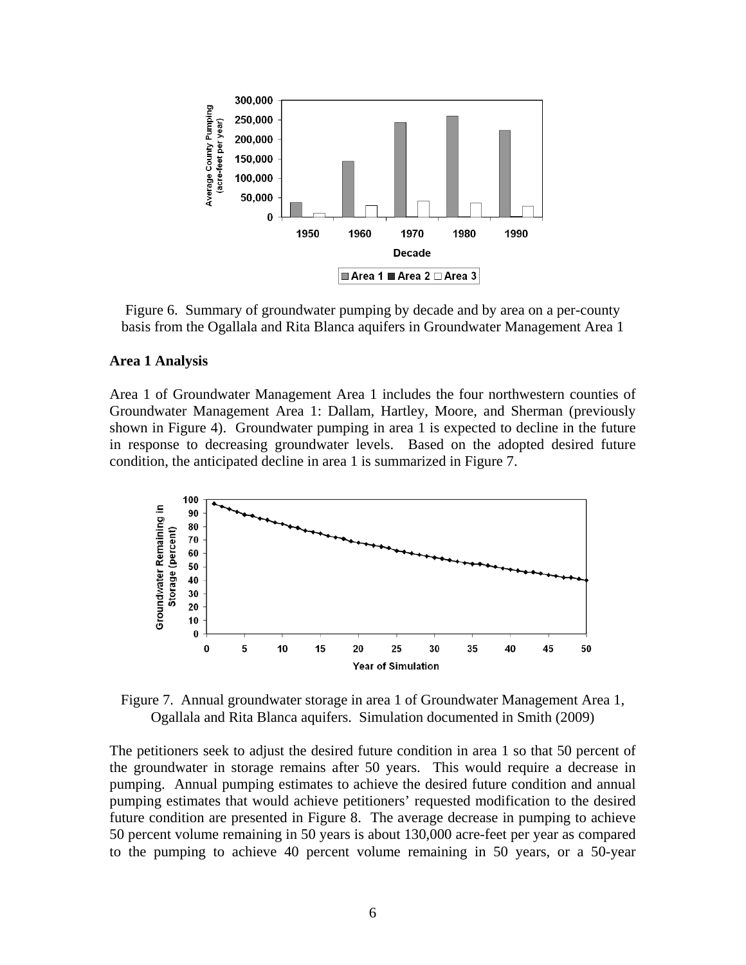

Figure 6. Summary of groundwater pumping by decade and by area on a per-county basis from the Ogallala and Rita Blanca aquifers in Groundwater Management Area 1

#### **Area 1 Analysis**

Area 1 of Groundwater Management Area 1 includes the four northwestern counties of Groundwater Management Area 1: Dallam, Hartley, Moore, and Sherman (previously shown in Figure 4). Groundwater pumping in area 1 is expected to decline in the future in response to decreasing groundwater levels. Based on the adopted desired future condition, the anticipated decline in area 1 is summarized in Figure 7.



Figure 7. Annual groundwater storage in area 1 of Groundwater Management Area 1, Ogallala and Rita Blanca aquifers. Simulation documented in Smith (2009)

The petitioners seek to adjust the desired future condition in area 1 so that 50 percent of the groundwater in storage remains after 50 years. This would require a decrease in pumping. Annual pumping estimates to achieve the desired future condition and annual pumping estimates that would achieve petitioners' requested modification to the desired future condition are presented in Figure 8. The average decrease in pumping to achieve 50 percent volume remaining in 50 years is about 130,000 acre-feet per year as compared to the pumping to achieve 40 percent volume remaining in 50 years, or a 50-year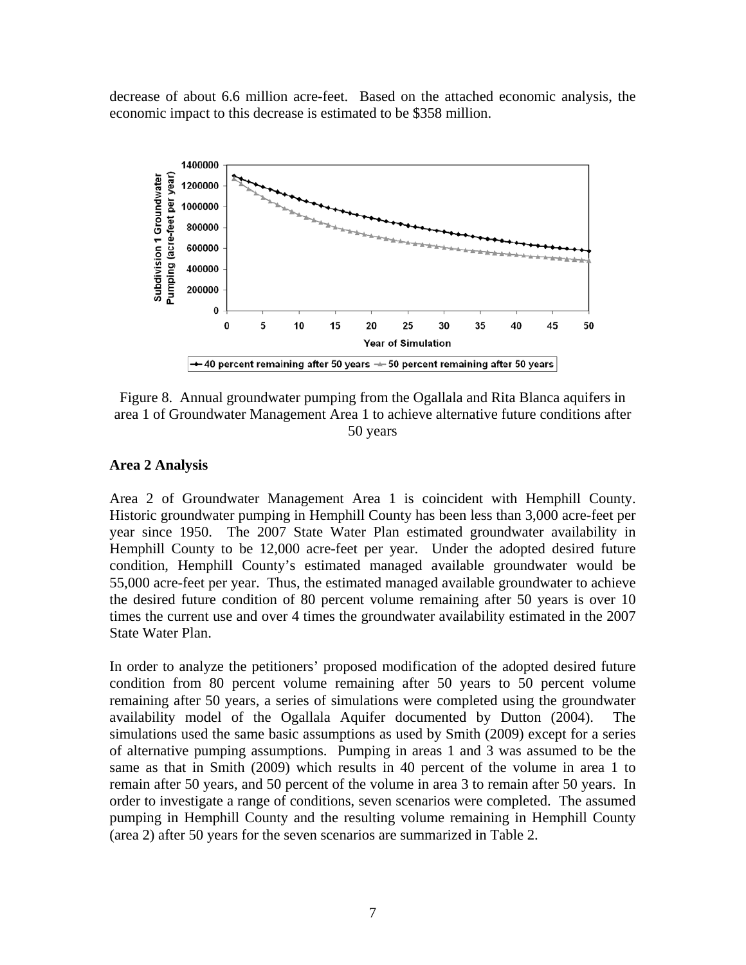decrease of about 6.6 million acre-feet. Based on the attached economic analysis, the economic impact to this decrease is estimated to be \$358 million.



Figure 8. Annual groundwater pumping from the Ogallala and Rita Blanca aquifers in area 1 of Groundwater Management Area 1 to achieve alternative future conditions after 50 years

#### **Area 2 Analysis**

Area 2 of Groundwater Management Area 1 is coincident with Hemphill County. Historic groundwater pumping in Hemphill County has been less than 3,000 acre-feet per year since 1950. The 2007 State Water Plan estimated groundwater availability in Hemphill County to be 12,000 acre-feet per year. Under the adopted desired future condition, Hemphill County's estimated managed available groundwater would be 55,000 acre-feet per year. Thus, the estimated managed available groundwater to achieve the desired future condition of 80 percent volume remaining after 50 years is over 10 times the current use and over 4 times the groundwater availability estimated in the 2007 State Water Plan.

In order to analyze the petitioners' proposed modification of the adopted desired future condition from 80 percent volume remaining after 50 years to 50 percent volume remaining after 50 years, a series of simulations were completed using the groundwater availability model of the Ogallala Aquifer documented by Dutton (2004). The simulations used the same basic assumptions as used by Smith (2009) except for a series of alternative pumping assumptions. Pumping in areas 1 and 3 was assumed to be the same as that in Smith (2009) which results in 40 percent of the volume in area 1 to remain after 50 years, and 50 percent of the volume in area 3 to remain after 50 years. In order to investigate a range of conditions, seven scenarios were completed. The assumed pumping in Hemphill County and the resulting volume remaining in Hemphill County (area 2) after 50 years for the seven scenarios are summarized in Table 2.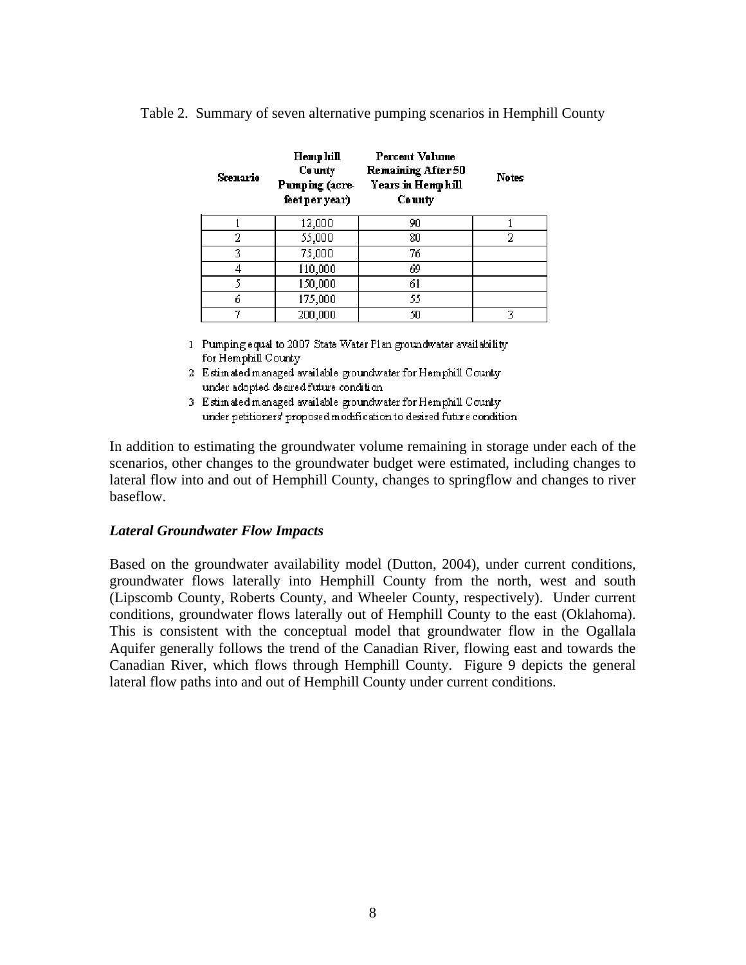Table 2. Summary of seven alternative pumping scenarios in Hemphill County

| Scenario | Hemphill<br>Co unty<br>Pumping (acre-<br>feet per year) | Percent Volume<br>Remaining After 50<br>Years in Hemphill<br>County | <b>Notes</b> |
|----------|---------------------------------------------------------|---------------------------------------------------------------------|--------------|
|          | 12,000                                                  | 90                                                                  |              |
| 2        | 55,000                                                  | 80                                                                  | 2            |
| 3        | 75,000                                                  | 76                                                                  |              |
| 4        | 110,000                                                 | 69                                                                  |              |
| 5        | 150,000                                                 | 61                                                                  |              |
| ń        | 175,000                                                 | 55                                                                  |              |
| 7        | 200,000                                                 | 50                                                                  | 3            |

1 Pumping equal to 2007 State Water Plan groundwater availability for Hemphill County

- 2 Estimated managed available groundwater for Hemphill Countyunder adopted desired future condition
- 3 Estimated managed available groundwater for Hemphill County under petitioners' proposed modification to desired future condition

In addition to estimating the groundwater volume remaining in storage under each of the scenarios, other changes to the groundwater budget were estimated, including changes to lateral flow into and out of Hemphill County, changes to springflow and changes to river baseflow.

#### *Lateral Groundwater Flow Impacts*

Based on the groundwater availability model (Dutton, 2004), under current conditions, groundwater flows laterally into Hemphill County from the north, west and south (Lipscomb County, Roberts County, and Wheeler County, respectively). Under current conditions, groundwater flows laterally out of Hemphill County to the east (Oklahoma). This is consistent with the conceptual model that groundwater flow in the Ogallala Aquifer generally follows the trend of the Canadian River, flowing east and towards the Canadian River, which flows through Hemphill County. Figure 9 depicts the general lateral flow paths into and out of Hemphill County under current conditions.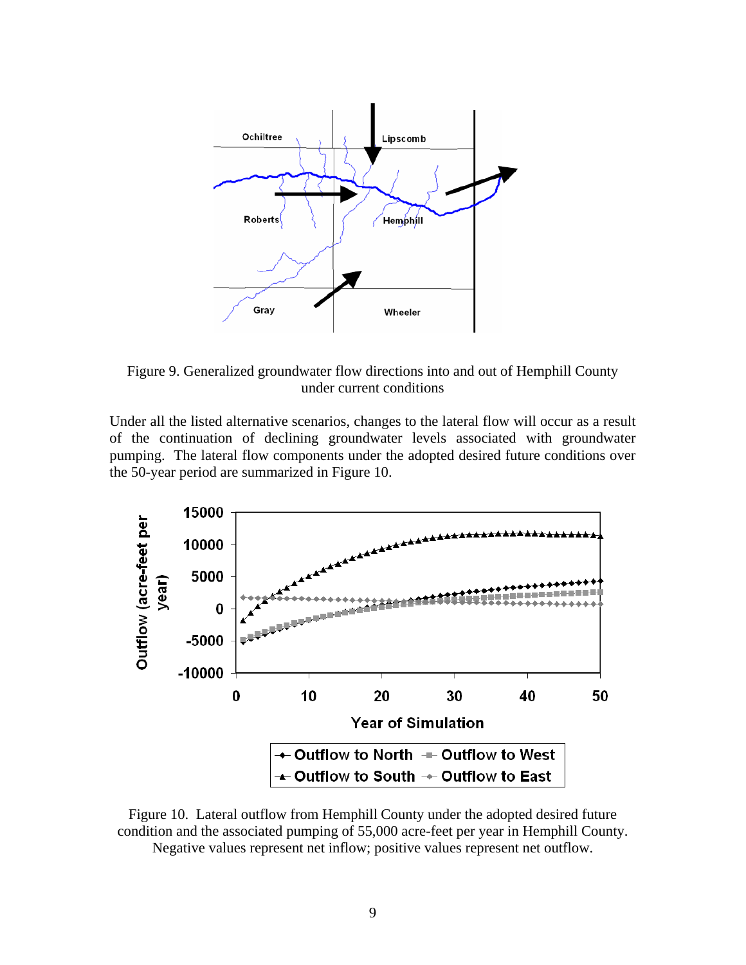

Figure 9. Generalized groundwater flow directions into and out of Hemphill County under current conditions

Under all the listed alternative scenarios, changes to the lateral flow will occur as a result of the continuation of declining groundwater levels associated with groundwater pumping. The lateral flow components under the adopted desired future conditions over the 50-year period are summarized in Figure 10.



Figure 10. Lateral outflow from Hemphill County under the adopted desired future condition and the associated pumping of 55,000 acre-feet per year in Hemphill County. Negative values represent net inflow; positive values represent net outflow.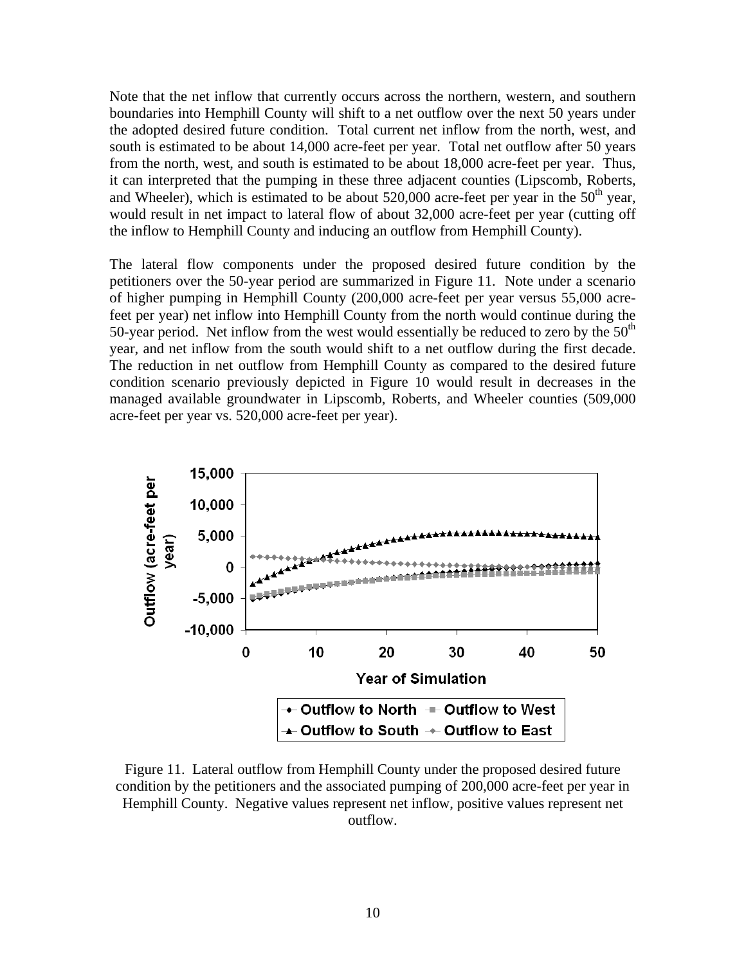Note that the net inflow that currently occurs across the northern, western, and southern boundaries into Hemphill County will shift to a net outflow over the next 50 years under the adopted desired future condition. Total current net inflow from the north, west, and south is estimated to be about 14,000 acre-feet per year. Total net outflow after 50 years from the north, west, and south is estimated to be about 18,000 acre-feet per year. Thus, it can interpreted that the pumping in these three adjacent counties (Lipscomb, Roberts, and Wheeler), which is estimated to be about  $520,000$  acre-feet per year in the  $50<sup>th</sup>$  year, would result in net impact to lateral flow of about 32,000 acre-feet per year (cutting off the inflow to Hemphill County and inducing an outflow from Hemphill County).

The lateral flow components under the proposed desired future condition by the petitioners over the 50-year period are summarized in Figure 11. Note under a scenario of higher pumping in Hemphill County (200,000 acre-feet per year versus 55,000 acrefeet per year) net inflow into Hemphill County from the north would continue during the 50-year period. Net inflow from the west would essentially be reduced to zero by the  $50<sup>th</sup>$ year, and net inflow from the south would shift to a net outflow during the first decade. The reduction in net outflow from Hemphill County as compared to the desired future condition scenario previously depicted in Figure 10 would result in decreases in the managed available groundwater in Lipscomb, Roberts, and Wheeler counties (509,000 acre-feet per year vs. 520,000 acre-feet per year).



Figure 11. Lateral outflow from Hemphill County under the proposed desired future condition by the petitioners and the associated pumping of 200,000 acre-feet per year in Hemphill County. Negative values represent net inflow, positive values represent net outflow.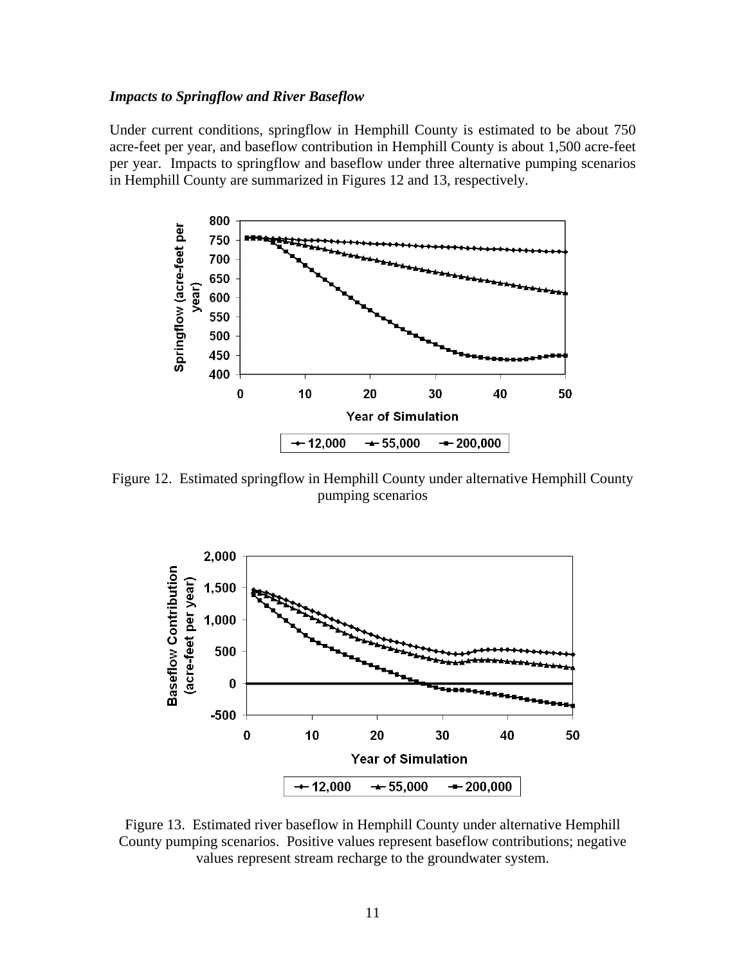#### *Impacts to Springflow and River Baseflow*

Under current conditions, springflow in Hemphill County is estimated to be about 750 acre-feet per year, and baseflow contribution in Hemphill County is about 1,500 acre-feet per year. Impacts to springflow and baseflow under three alternative pumping scenarios in Hemphill County are summarized in Figures 12 and 13, respectively.



Figure 12. Estimated springflow in Hemphill County under alternative Hemphill County pumping scenarios



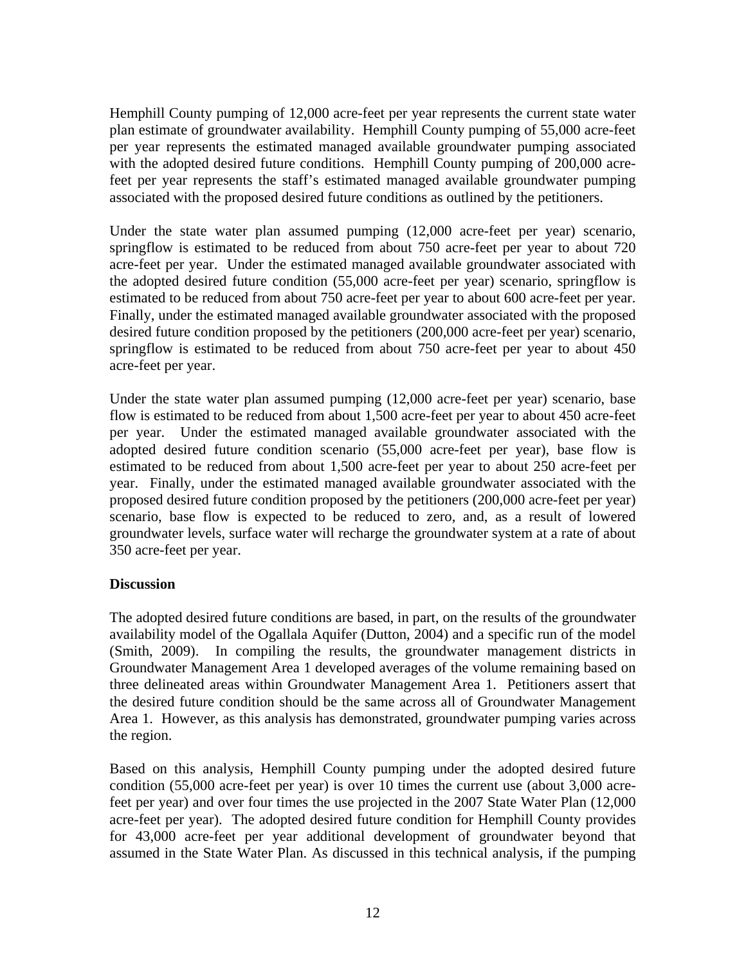Hemphill County pumping of 12,000 acre-feet per year represents the current state water plan estimate of groundwater availability. Hemphill County pumping of 55,000 acre-feet per year represents the estimated managed available groundwater pumping associated with the adopted desired future conditions. Hemphill County pumping of 200,000 acrefeet per year represents the staff's estimated managed available groundwater pumping associated with the proposed desired future conditions as outlined by the petitioners.

Under the state water plan assumed pumping (12,000 acre-feet per year) scenario, springflow is estimated to be reduced from about 750 acre-feet per year to about 720 acre-feet per year. Under the estimated managed available groundwater associated with the adopted desired future condition (55,000 acre-feet per year) scenario, springflow is estimated to be reduced from about 750 acre-feet per year to about 600 acre-feet per year. Finally, under the estimated managed available groundwater associated with the proposed desired future condition proposed by the petitioners (200,000 acre-feet per year) scenario, springflow is estimated to be reduced from about 750 acre-feet per year to about 450 acre-feet per year.

Under the state water plan assumed pumping (12,000 acre-feet per year) scenario, base flow is estimated to be reduced from about 1,500 acre-feet per year to about 450 acre-feet per year. Under the estimated managed available groundwater associated with the adopted desired future condition scenario (55,000 acre-feet per year), base flow is estimated to be reduced from about 1,500 acre-feet per year to about 250 acre-feet per year. Finally, under the estimated managed available groundwater associated with the proposed desired future condition proposed by the petitioners (200,000 acre-feet per year) scenario, base flow is expected to be reduced to zero, and, as a result of lowered groundwater levels, surface water will recharge the groundwater system at a rate of about 350 acre-feet per year.

# **Discussion**

The adopted desired future conditions are based, in part, on the results of the groundwater availability model of the Ogallala Aquifer (Dutton, 2004) and a specific run of the model (Smith, 2009). In compiling the results, the groundwater management districts in Groundwater Management Area 1 developed averages of the volume remaining based on three delineated areas within Groundwater Management Area 1. Petitioners assert that the desired future condition should be the same across all of Groundwater Management Area 1. However, as this analysis has demonstrated, groundwater pumping varies across the region.

Based on this analysis, Hemphill County pumping under the adopted desired future condition (55,000 acre-feet per year) is over 10 times the current use (about 3,000 acrefeet per year) and over four times the use projected in the 2007 State Water Plan (12,000 acre-feet per year). The adopted desired future condition for Hemphill County provides for 43,000 acre-feet per year additional development of groundwater beyond that assumed in the State Water Plan. As discussed in this technical analysis, if the pumping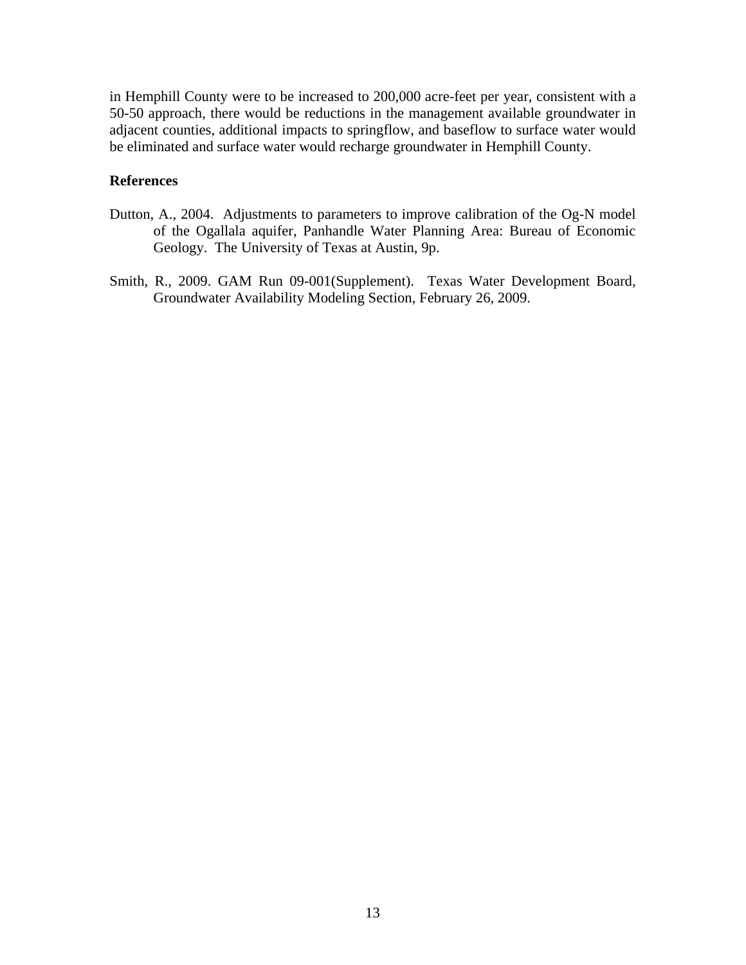in Hemphill County were to be increased to 200,000 acre-feet per year, consistent with a 50-50 approach, there would be reductions in the management available groundwater in adjacent counties, additional impacts to springflow, and baseflow to surface water would be eliminated and surface water would recharge groundwater in Hemphill County.

## **References**

- Dutton, A., 2004. Adjustments to parameters to improve calibration of the Og-N model of the Ogallala aquifer, Panhandle Water Planning Area: Bureau of Economic Geology. The University of Texas at Austin, 9p.
- Smith, R., 2009. GAM Run 09-001(Supplement). Texas Water Development Board, Groundwater Availability Modeling Section, February 26, 2009.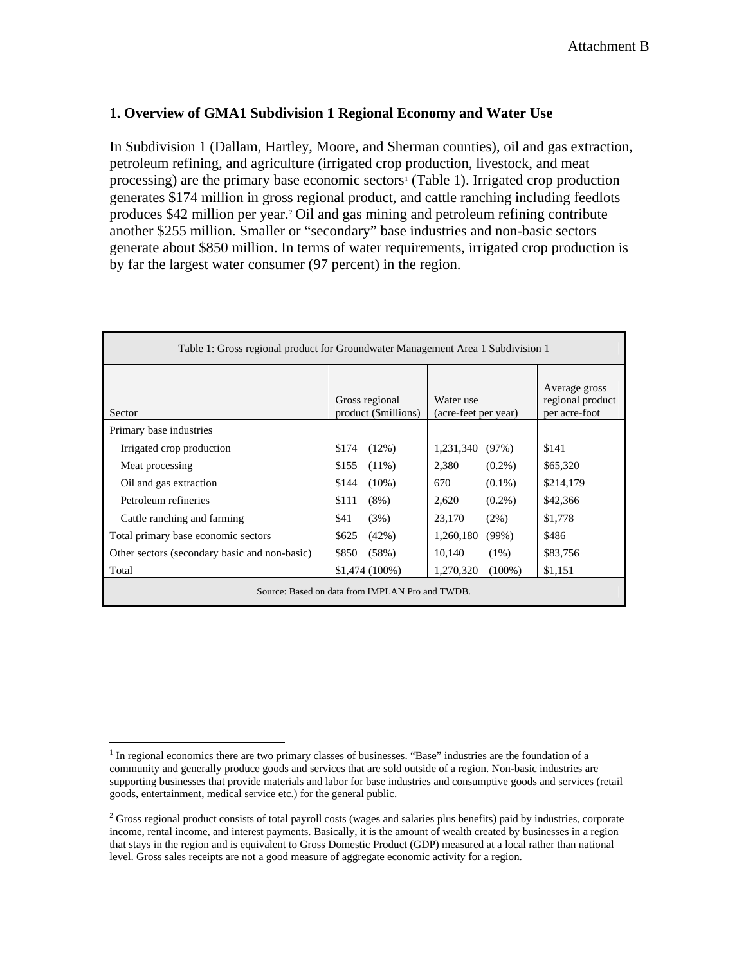## **1. Overview of GMA1 Subdivision 1 Regional Economy and Water Use**

In Subdivision 1 (Dallam, Hartley, Moore, and Sherman counties), oil and gas extraction, petroleum refining, and agriculture (irrigated crop production, livestock, and meat processing) are the primary base economic sectors<sup>[1](#page-22-0)</sup> (Table 1). Irrigated crop production generates \$174 million in gross regional product, and cattle ranching including feedlots produces \$42 million per year[.2](#page-22-1) Oil and gas mining and petroleum refining contribute another \$255 million. Smaller or "secondary" base industries and non-basic sectors generate about \$850 million. In terms of water requirements, irrigated crop production is by far the largest water consumer (97 percent) in the region.

| Table 1: Gross regional product for Groundwater Management Area 1 Subdivision 1 |                                        |                                   |           |  |  |  |
|---------------------------------------------------------------------------------|----------------------------------------|-----------------------------------|-----------|--|--|--|
| Sector                                                                          | Gross regional<br>product (\$millions) | Water use<br>(acre-feet per year) |           |  |  |  |
| Primary base industries                                                         |                                        |                                   |           |  |  |  |
| Irrigated crop production                                                       | $(12\%)$<br>\$174                      | 1,231,340<br>(97%)                | \$141     |  |  |  |
| Meat processing                                                                 | $(11\%)$<br>\$155                      | 2,380<br>$(0.2\%)$                | \$65,320  |  |  |  |
| Oil and gas extraction                                                          | $(10\%)$<br>\$144                      | $(0.1\%)$<br>670                  | \$214,179 |  |  |  |
| Petroleum refineries                                                            | \$111<br>$(8\%)$                       | 2,620<br>$(0.2\%)$                | \$42,366  |  |  |  |
| Cattle ranching and farming                                                     | \$41<br>(3%)                           | 23,170<br>$(2\%)$                 | \$1,778   |  |  |  |
| Total primary base economic sectors                                             | \$625<br>(42%)                         | 1,260,180<br>$(99\%)$             | \$486     |  |  |  |
| Other sectors (secondary basic and non-basic)                                   | \$850<br>(58%)                         | 10,140<br>$(1\%)$                 | \$83,756  |  |  |  |
| Total                                                                           | $$1,474(100\%)$                        | 1,270,320<br>$(100\%)$            | \$1,151   |  |  |  |
| Source: Based on data from IMPLAN Pro and TWDB.                                 |                                        |                                   |           |  |  |  |

<span id="page-22-0"></span> $\overline{a}$ <sup>1</sup> In regional economics there are two primary classes of businesses. "Base" industries are the foundation of a community and generally produce goods and services that are sold outside of a region. Non-basic industries are supporting businesses that provide materials and labor for base industries and consumptive goods and services (retail goods, entertainment, medical service etc.) for the general public.

<span id="page-22-1"></span><sup>&</sup>lt;sup>2</sup> Gross regional product consists of total payroll costs (wages and salaries plus benefits) paid by industries, corporate income, rental income, and interest payments. Basically, it is the amount of wealth created by businesses in a region that stays in the region and is equivalent to Gross Domestic Product (GDP) measured at a local rather than national level. Gross sales receipts are not a good measure of aggregate economic activity for a region.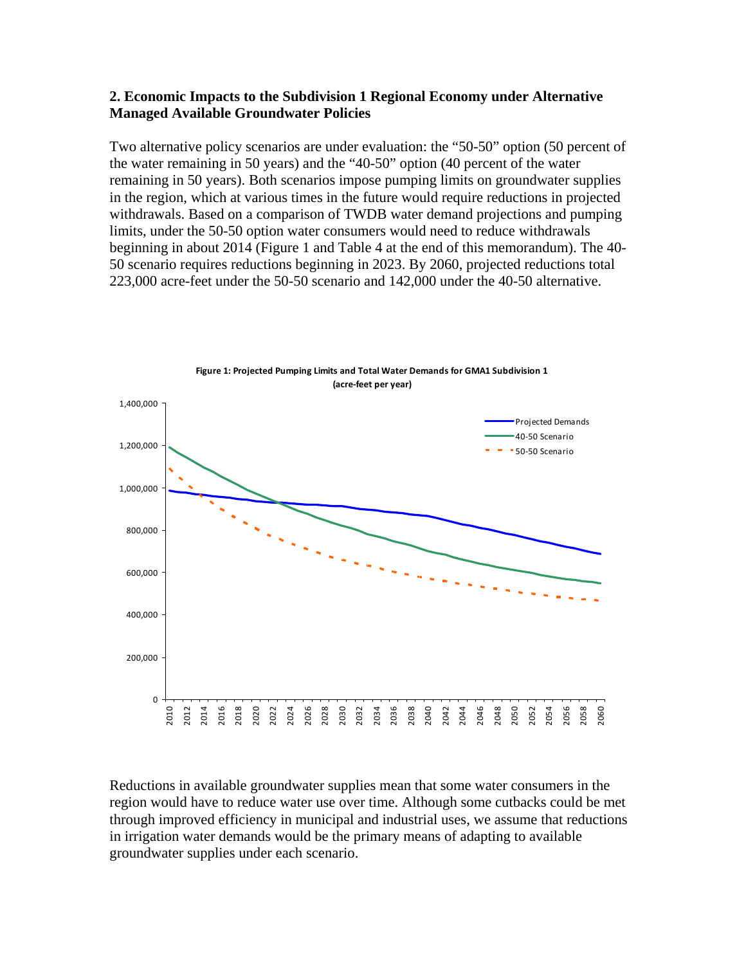### **2. Economic Impacts to the Subdivision 1 Regional Economy under Alternative Managed Available Groundwater Policies**

Two alternative policy scenarios are under evaluation: the "50-50" option (50 percent of the water remaining in 50 years) and the "40-50" option (40 percent of the water remaining in 50 years). Both scenarios impose pumping limits on groundwater supplies in the region, which at various times in the future would require reductions in projected withdrawals. Based on a comparison of TWDB water demand projections and pumping limits, under the 50-50 option water consumers would need to reduce withdrawals beginning in about 2014 (Figure 1 and Table 4 at the end of this memorandum). The 40- 50 scenario requires reductions beginning in 2023. By 2060, projected reductions total 223,000 acre-feet under the 50-50 scenario and 142,000 under the 40-50 alternative.



Reductions in available groundwater supplies mean that some water consumers in the region would have to reduce water use over time. Although some cutbacks could be met through improved efficiency in municipal and industrial uses, we assume that reductions in irrigation water demands would be the primary means of adapting to available groundwater supplies under each scenario.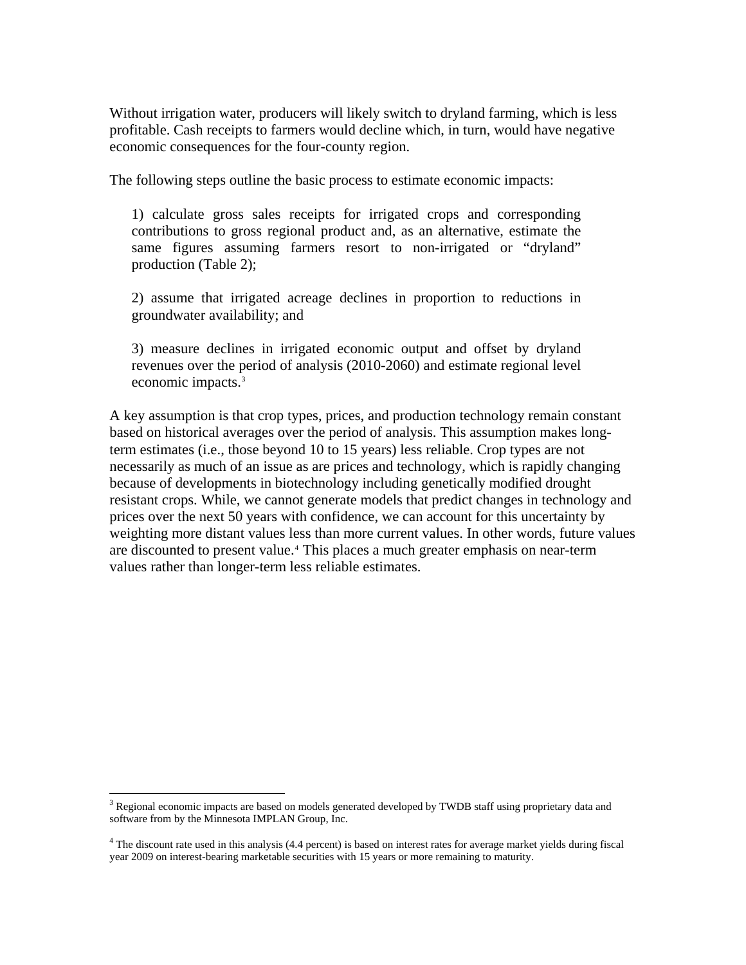<span id="page-24-0"></span>Without irrigation water, producers will likely switch to dryland farming, which is less profitable. Cash receipts to farmers would decline which, in turn, would have negative economic consequences for the four-county region.

The following steps outline the basic process to estimate economic impacts:

1) calculate gross sales receipts for irrigated crops and corresponding contributions to gross regional product and, as an alternative, estimate the same figures assuming farmers resort to non-irrigated or "dryland" production (Table 2);

2) assume that irrigated acreage declines in proportion to reductions in groundwater availability; and

3) measure declines in irrigated economic output and offset by dryland revenues over the period of analysis (2010-2060) and estimate regional level economic impacts.<sup>3</sup>

A key assumption is that crop types, prices, and production technology remain constant based on historical averages over the period of analysis. This assumption makes longterm estimates (i.e., those beyond 10 to 15 years) less reliable. Crop types are not necessarily as much of an issue as are prices and technology, which is rapidly changing because of developments in biotechnology including genetically modified drought resistant crops. While, we cannot generate models that predict changes in technology and prices over the next 50 years with confidence, we can account for this uncertainty by weighting more distant values less than more current values. In other words, future values are discounted to present value.<sup>[4](#page-24-0)</sup> This places a much greater emphasis on near-term values rather than longer-term less reliable estimates.

 $\overline{a}$ 

<sup>&</sup>lt;sup>3</sup> Regional economic impacts are based on models generated developed by TWDB staff using proprietary data and software from by the Minnesota IMPLAN Group, Inc.

<sup>&</sup>lt;sup>4</sup> The discount rate used in this analysis (4.4 percent) is based on interest rates for average market yields during fiscal year 2009 on interest-bearing marketable securities with 15 years or more remaining to maturity.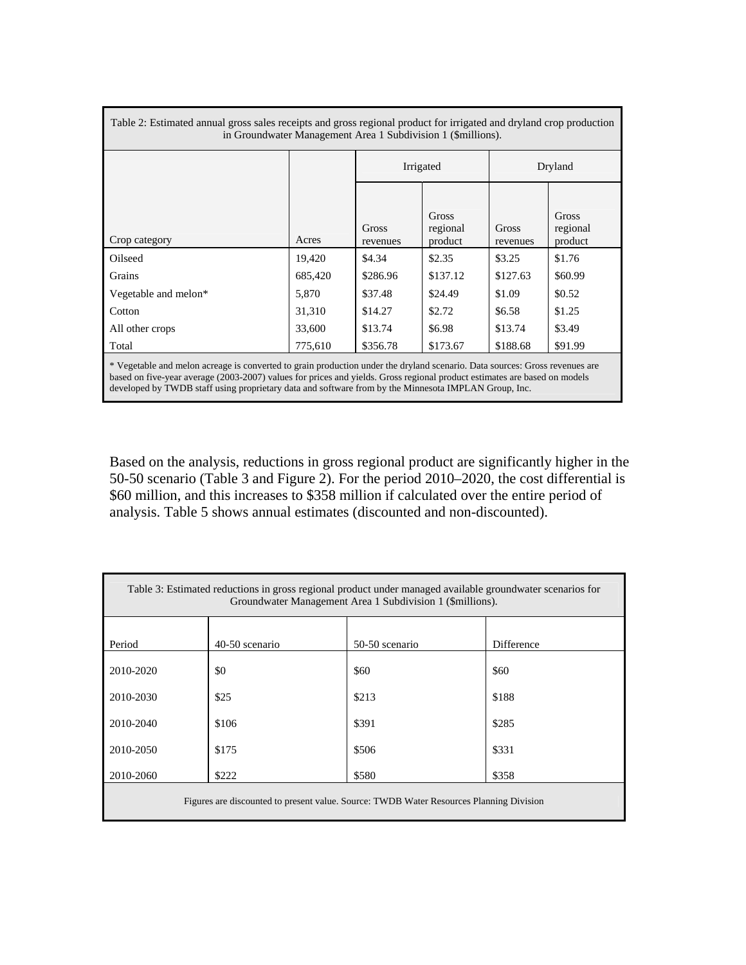| Table 2: Estimated annual gross sales receipts and gross regional product for irrigated and dryland crop production<br>in Groundwater Management Area 1 Subdivision 1 (\$millions).                                                                                                                                                                              |         |                   |                              |                   |                              |  |
|------------------------------------------------------------------------------------------------------------------------------------------------------------------------------------------------------------------------------------------------------------------------------------------------------------------------------------------------------------------|---------|-------------------|------------------------------|-------------------|------------------------------|--|
|                                                                                                                                                                                                                                                                                                                                                                  |         |                   | Irrigated                    | Dryland           |                              |  |
| Crop category                                                                                                                                                                                                                                                                                                                                                    | Acres   | Gross<br>revenues | Gross<br>regional<br>product | Gross<br>revenues | Gross<br>regional<br>product |  |
| Oilseed                                                                                                                                                                                                                                                                                                                                                          | 19,420  | \$4.34            | \$2.35                       | \$3.25            | \$1.76                       |  |
| Grains                                                                                                                                                                                                                                                                                                                                                           | 685,420 | \$286.96          | \$137.12                     | \$127.63          | \$60.99                      |  |
| Vegetable and melon*                                                                                                                                                                                                                                                                                                                                             | 5,870   | \$37.48           | \$24.49                      | \$1.09            | \$0.52                       |  |
| Cotton                                                                                                                                                                                                                                                                                                                                                           | 31,310  | \$14.27           | \$2.72                       | \$6.58            | \$1.25                       |  |
| All other crops                                                                                                                                                                                                                                                                                                                                                  | 33,600  | \$13.74           | \$6.98                       | \$13.74           | \$3.49                       |  |
| Total                                                                                                                                                                                                                                                                                                                                                            | 775,610 | \$356.78          | \$173.67                     | \$188.68          | \$91.99                      |  |
| * Vegetable and melon acreage is converted to grain production under the dryland scenario. Data sources: Gross revenues are<br>based on five-year average (2003-2007) values for prices and yields. Gross regional product estimates are based on models<br>developed by TWDB staff using proprietary data and software from by the Minnesota IMPLAN Group, Inc. |         |                   |                              |                   |                              |  |

Based on the analysis, reductions in gross regional product are significantly higher in the 50-50 scenario (Table 3 and Figure 2). For the period 2010–2020, the cost differential is \$60 million, and this increases to \$358 million if calculated over the entire period of analysis. Table 5 shows annual estimates (discounted and non-discounted).

| Table 3: Estimated reductions in gross regional product under managed available groundwater scenarios for<br>Groundwater Management Area 1 Subdivision 1 (\$millions). |                |                |            |  |  |  |
|------------------------------------------------------------------------------------------------------------------------------------------------------------------------|----------------|----------------|------------|--|--|--|
| Period                                                                                                                                                                 | 40-50 scenario | 50-50 scenario | Difference |  |  |  |
| 2010-2020                                                                                                                                                              | \$0            | \$60           | \$60       |  |  |  |
| 2010-2030                                                                                                                                                              | \$25           | \$213          | \$188      |  |  |  |
| 2010-2040                                                                                                                                                              | \$106          | \$391          | \$285      |  |  |  |
| 2010-2050                                                                                                                                                              | \$175          | \$506          | \$331      |  |  |  |
| 2010-2060<br>\$222<br>\$580<br>\$358                                                                                                                                   |                |                |            |  |  |  |
| Figures are discounted to present value. Source: TWDB Water Resources Planning Division                                                                                |                |                |            |  |  |  |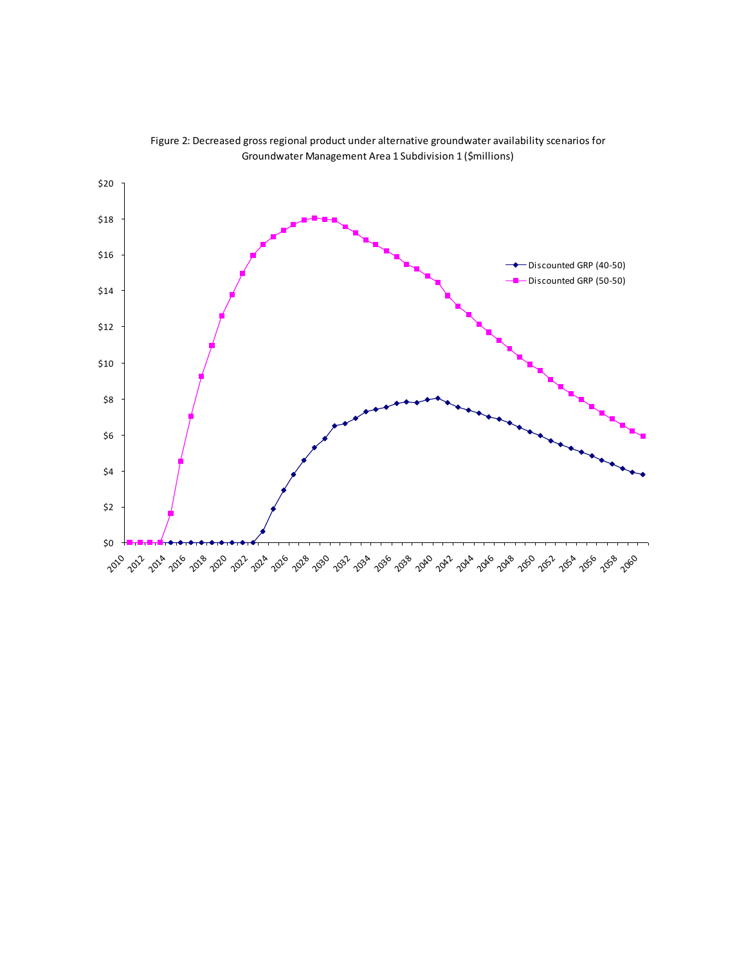

Figure 2: Decreased gross regional product under alternative groundwater availability scenarios for Groundwater Management Area 1 Subdivision 1 (\$millions)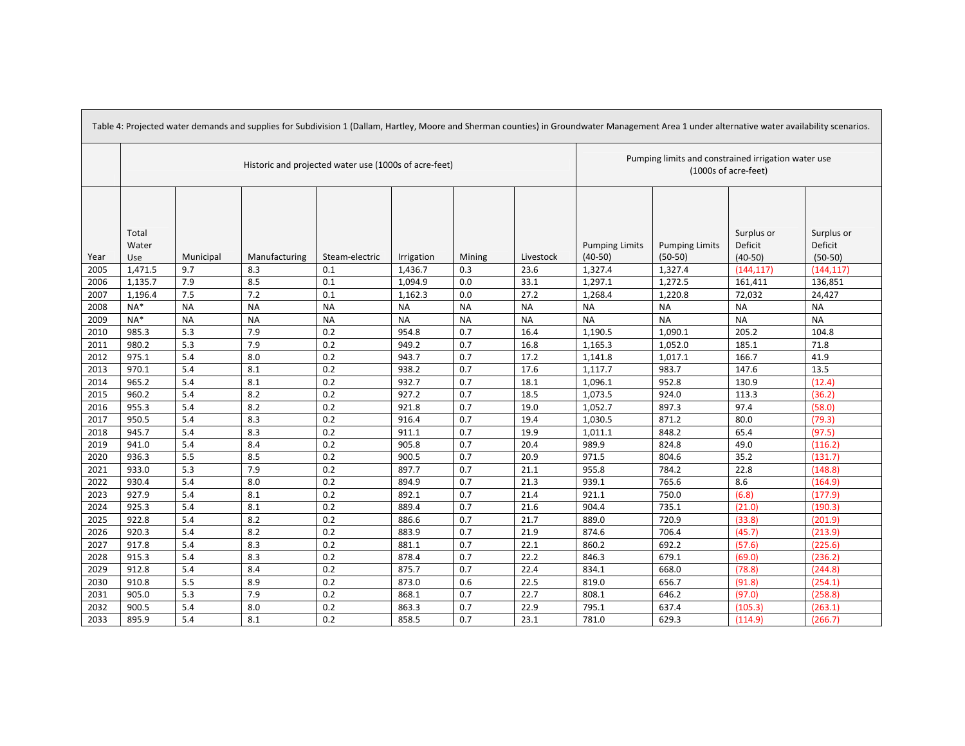| Table 4: Projected water demands and supplies for Subdivision 1 (Dallam, Hartley, Moore and Sherman counties) in Groundwater Management Area 1 under alternative water availability scenarios. |                                                       |           |               |                |            |           |           |                                    |                                                     |                                    |                                    |
|------------------------------------------------------------------------------------------------------------------------------------------------------------------------------------------------|-------------------------------------------------------|-----------|---------------|----------------|------------|-----------|-----------|------------------------------------|-----------------------------------------------------|------------------------------------|------------------------------------|
|                                                                                                                                                                                                | Historic and projected water use (1000s of acre-feet) |           |               |                |            |           |           | (1000s of acre-feet)               | Pumping limits and constrained irrigation water use |                                    |                                    |
| Year                                                                                                                                                                                           | Total<br>Water<br>Use                                 | Municipal | Manufacturing | Steam-electric | Irrigation | Mining    | Livestock | <b>Pumping Limits</b><br>$(40-50)$ | <b>Pumping Limits</b><br>$(50-50)$                  | Surplus or<br>Deficit<br>$(40-50)$ | Surplus or<br>Deficit<br>$(50-50)$ |
| 2005                                                                                                                                                                                           | 1,471.5                                               | 9.7       | 8.3           | 0.1            | 1,436.7    | 0.3       | 23.6      | 1,327.4                            | 1,327.4                                             | (144, 117)                         | (144, 117)                         |
| 2006                                                                                                                                                                                           | 1,135.7                                               | 7.9       | 8.5           | 0.1            | 1,094.9    | 0.0       | 33.1      | 1,297.1                            | 1,272.5                                             | 161,411                            | 136,851                            |
| 2007                                                                                                                                                                                           | 1,196.4                                               | 7.5       | 7.2           | 0.1            | 1,162.3    | 0.0       | 27.2      | 1,268.4                            | 1,220.8                                             | 72,032                             | 24,427                             |
| 2008                                                                                                                                                                                           | $NA*$                                                 | <b>NA</b> | <b>NA</b>     | <b>NA</b>      | <b>NA</b>  | <b>NA</b> | <b>NA</b> | <b>NA</b>                          | <b>NA</b>                                           | <b>NA</b>                          | <b>NA</b>                          |
| 2009                                                                                                                                                                                           | NA*                                                   | <b>NA</b> | <b>NA</b>     | <b>NA</b>      | <b>NA</b>  | <b>NA</b> | <b>NA</b> | <b>NA</b>                          | <b>NA</b>                                           | <b>NA</b>                          | <b>NA</b>                          |
| 2010                                                                                                                                                                                           | 985.3                                                 | 5.3       | 7.9           | 0.2            | 954.8      | 0.7       | 16.4      | 1,190.5                            | 1,090.1                                             | 205.2                              | 104.8                              |
| 2011                                                                                                                                                                                           | 980.2                                                 | 5.3       | 7.9           | 0.2            | 949.2      | 0.7       | 16.8      | 1,165.3                            | 1,052.0                                             | 185.1                              | 71.8                               |
| 2012                                                                                                                                                                                           | 975.1                                                 | 5.4       | 8.0           | 0.2            | 943.7      | 0.7       | 17.2      | 1,141.8                            | 1,017.1                                             | 166.7                              | 41.9                               |
| 2013                                                                                                                                                                                           | 970.1                                                 | 5.4       | 8.1           | 0.2            | 938.2      | 0.7       | 17.6      | 1,117.7                            | 983.7                                               | 147.6                              | 13.5                               |
| 2014                                                                                                                                                                                           | 965.2                                                 | 5.4       | 8.1           | 0.2            | 932.7      | 0.7       | 18.1      | 1,096.1                            | 952.8                                               | 130.9                              | (12.4)                             |
| 2015                                                                                                                                                                                           | 960.2                                                 | 5.4       | 8.2           | 0.2            | 927.2      | 0.7       | 18.5      | 1,073.5                            | 924.0                                               | 113.3                              | (36.2)                             |
| 2016                                                                                                                                                                                           | 955.3                                                 | 5.4       | 8.2           | 0.2            | 921.8      | 0.7       | 19.0      | 1,052.7                            | 897.3                                               | 97.4                               | (58.0)                             |
| 2017                                                                                                                                                                                           | 950.5                                                 | 5.4       | 8.3           | 0.2            | 916.4      | 0.7       | 19.4      | 1,030.5                            | 871.2                                               | 80.0                               | (79.3)                             |
| 2018                                                                                                                                                                                           | 945.7                                                 | 5.4       | 8.3           | 0.2            | 911.1      | 0.7       | 19.9      | 1,011.1                            | 848.2                                               | 65.4                               | (97.5)                             |
| 2019                                                                                                                                                                                           | 941.0                                                 | 5.4       | 8.4           | 0.2            | 905.8      | 0.7       | 20.4      | 989.9                              | 824.8                                               | 49.0                               | (116.2)                            |
| 2020                                                                                                                                                                                           | 936.3                                                 | 5.5       | 8.5           | 0.2            | 900.5      | 0.7       | 20.9      | 971.5                              | 804.6                                               | 35.2                               | (131.7)                            |
| 2021                                                                                                                                                                                           | 933.0                                                 | 5.3       | 7.9           | 0.2            | 897.7      | 0.7       | 21.1      | 955.8                              | 784.2                                               | 22.8                               | (148.8)                            |
| 2022                                                                                                                                                                                           | 930.4                                                 | 5.4       | 8.0           | 0.2            | 894.9      | 0.7       | 21.3      | 939.1                              | 765.6                                               | 8.6                                | (164.9)                            |
| 2023                                                                                                                                                                                           | 927.9                                                 | 5.4       | 8.1           | 0.2            | 892.1      | 0.7       | 21.4      | 921.1                              | 750.0                                               | (6.8)                              | (177.9)                            |
| 2024                                                                                                                                                                                           | 925.3                                                 | 5.4       | 8.1           | 0.2            | 889.4      | 0.7       | 21.6      | 904.4                              | 735.1                                               | (21.0)                             | (190.3)                            |
| 2025                                                                                                                                                                                           | 922.8                                                 | 5.4       | 8.2           | 0.2            | 886.6      | 0.7       | 21.7      | 889.0                              | 720.9                                               | (33.8)                             | (201.9)                            |
| 2026                                                                                                                                                                                           | 920.3                                                 | 5.4       | 8.2           | 0.2            | 883.9      | 0.7       | 21.9      | 874.6                              | 706.4                                               | (45.7)                             | (213.9)                            |
| 2027                                                                                                                                                                                           | 917.8                                                 | 5.4       | 8.3           | 0.2            | 881.1      | 0.7       | 22.1      | 860.2                              | 692.2                                               | (57.6)                             | (225.6)                            |
| 2028                                                                                                                                                                                           | 915.3                                                 | 5.4       | 8.3           | 0.2            | 878.4      | 0.7       | 22.2      | 846.3                              | 679.1                                               | (69.0)                             | (236.2)                            |
| 2029                                                                                                                                                                                           | 912.8                                                 | 5.4       | 8.4           | 0.2            | 875.7      | 0.7       | 22.4      | 834.1                              | 668.0                                               | (78.8)                             | (244.8)                            |
| 2030                                                                                                                                                                                           | 910.8                                                 | 5.5       | 8.9           | 0.2            | 873.0      | 0.6       | 22.5      | 819.0                              | 656.7                                               | (91.8)                             | (254.1)                            |
| 2031                                                                                                                                                                                           | 905.0                                                 | 5.3       | 7.9           | 0.2            | 868.1      | 0.7       | 22.7      | 808.1                              | 646.2                                               | (97.0)                             | (258.8)                            |
| 2032                                                                                                                                                                                           | 900.5                                                 | 5.4       | 8.0           | 0.2            | 863.3      | 0.7       | 22.9      | 795.1                              | 637.4                                               | (105.3)                            | (263.1)                            |
| 2033                                                                                                                                                                                           | 895.9                                                 | 5.4       | 8.1           | 0.2            | 858.5      | 0.7       | 23.1      | 781.0                              | 629.3                                               | (114.9)                            | (266.7)                            |

┓

**The Committee of the Committee of the Committee**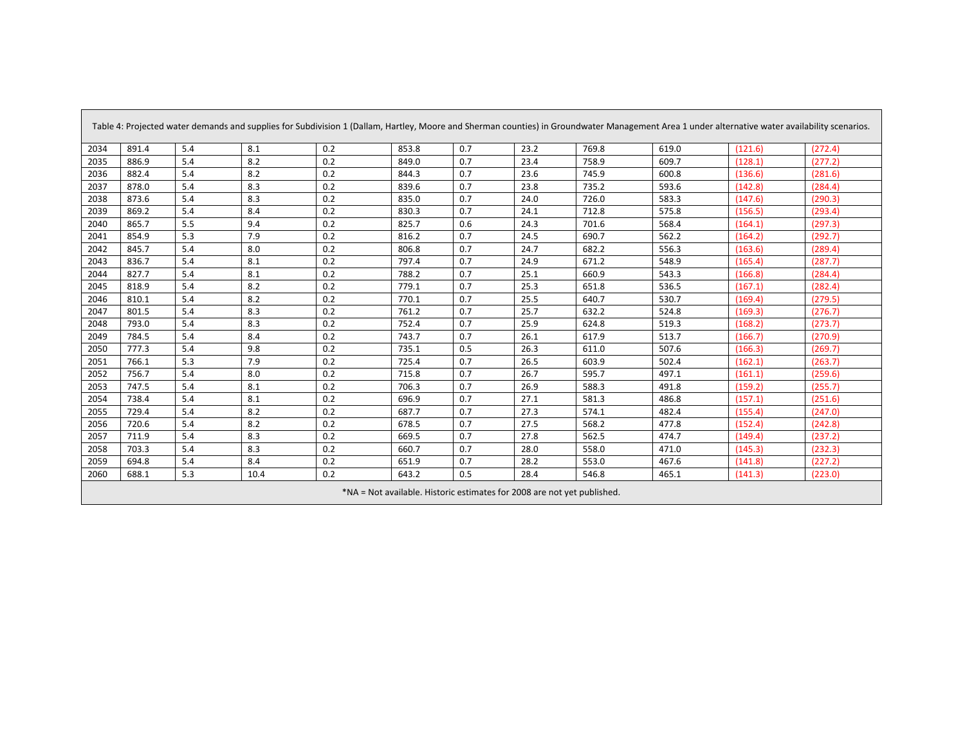|      | Table 4: Projected water demands and supplies for Subdivision 1 (Dallam, Hartley, Moore and Sherman counties) in Groundwater Management Area 1 under alternative water availability scenarios. |     |      |     |       |     |      |       |       |         |         |
|------|------------------------------------------------------------------------------------------------------------------------------------------------------------------------------------------------|-----|------|-----|-------|-----|------|-------|-------|---------|---------|
| 2034 | 891.4                                                                                                                                                                                          | 5.4 | 8.1  | 0.2 | 853.8 | 0.7 | 23.2 | 769.8 | 619.0 | (121.6) | (272.4) |
| 2035 | 886.9                                                                                                                                                                                          | 5.4 | 8.2  | 0.2 | 849.0 | 0.7 | 23.4 | 758.9 | 609.7 | (128.1) | (277.2) |
| 2036 | 882.4                                                                                                                                                                                          | 5.4 | 8.2  | 0.2 | 844.3 | 0.7 | 23.6 | 745.9 | 600.8 | (136.6) | (281.6) |
| 2037 | 878.0                                                                                                                                                                                          | 5.4 | 8.3  | 0.2 | 839.6 | 0.7 | 23.8 | 735.2 | 593.6 | (142.8) | (284.4) |
| 2038 | 873.6                                                                                                                                                                                          | 5.4 | 8.3  | 0.2 | 835.0 | 0.7 | 24.0 | 726.0 | 583.3 | (147.6) | (290.3) |
| 2039 | 869.2                                                                                                                                                                                          | 5.4 | 8.4  | 0.2 | 830.3 | 0.7 | 24.1 | 712.8 | 575.8 | (156.5) | (293.4) |
| 2040 | 865.7                                                                                                                                                                                          | 5.5 | 9.4  | 0.2 | 825.7 | 0.6 | 24.3 | 701.6 | 568.4 | (164.1) | (297.3) |
| 2041 | 854.9                                                                                                                                                                                          | 5.3 | 7.9  | 0.2 | 816.2 | 0.7 | 24.5 | 690.7 | 562.2 | (164.2) | (292.7) |
| 2042 | 845.7                                                                                                                                                                                          | 5.4 | 8.0  | 0.2 | 806.8 | 0.7 | 24.7 | 682.2 | 556.3 | (163.6) | (289.4) |
| 2043 | 836.7                                                                                                                                                                                          | 5.4 | 8.1  | 0.2 | 797.4 | 0.7 | 24.9 | 671.2 | 548.9 | (165.4) | (287.7) |
| 2044 | 827.7                                                                                                                                                                                          | 5.4 | 8.1  | 0.2 | 788.2 | 0.7 | 25.1 | 660.9 | 543.3 | (166.8) | (284.4) |
| 2045 | 818.9                                                                                                                                                                                          | 5.4 | 8.2  | 0.2 | 779.1 | 0.7 | 25.3 | 651.8 | 536.5 | (167.1) | (282.4) |
| 2046 | 810.1                                                                                                                                                                                          | 5.4 | 8.2  | 0.2 | 770.1 | 0.7 | 25.5 | 640.7 | 530.7 | (169.4) | (279.5) |
| 2047 | 801.5                                                                                                                                                                                          | 5.4 | 8.3  | 0.2 | 761.2 | 0.7 | 25.7 | 632.2 | 524.8 | (169.3) | (276.7) |
| 2048 | 793.0                                                                                                                                                                                          | 5.4 | 8.3  | 0.2 | 752.4 | 0.7 | 25.9 | 624.8 | 519.3 | (168.2) | (273.7) |
| 2049 | 784.5                                                                                                                                                                                          | 5.4 | 8.4  | 0.2 | 743.7 | 0.7 | 26.1 | 617.9 | 513.7 | (166.7) | (270.9) |
| 2050 | 777.3                                                                                                                                                                                          | 5.4 | 9.8  | 0.2 | 735.1 | 0.5 | 26.3 | 611.0 | 507.6 | (166.3) | (269.7) |
| 2051 | 766.1                                                                                                                                                                                          | 5.3 | 7.9  | 0.2 | 725.4 | 0.7 | 26.5 | 603.9 | 502.4 | (162.1) | (263.7) |
| 2052 | 756.7                                                                                                                                                                                          | 5.4 | 8.0  | 0.2 | 715.8 | 0.7 | 26.7 | 595.7 | 497.1 | (161.1) | (259.6) |
| 2053 | 747.5                                                                                                                                                                                          | 5.4 | 8.1  | 0.2 | 706.3 | 0.7 | 26.9 | 588.3 | 491.8 | (159.2) | (255.7) |
| 2054 | 738.4                                                                                                                                                                                          | 5.4 | 8.1  | 0.2 | 696.9 | 0.7 | 27.1 | 581.3 | 486.8 | (157.1) | (251.6) |
| 2055 | 729.4                                                                                                                                                                                          | 5.4 | 8.2  | 0.2 | 687.7 | 0.7 | 27.3 | 574.1 | 482.4 | (155.4) | (247.0) |
| 2056 | 720.6                                                                                                                                                                                          | 5.4 | 8.2  | 0.2 | 678.5 | 0.7 | 27.5 | 568.2 | 477.8 | (152.4) | (242.8) |
| 2057 | 711.9                                                                                                                                                                                          | 5.4 | 8.3  | 0.2 | 669.5 | 0.7 | 27.8 | 562.5 | 474.7 | (149.4) | (237.2) |
| 2058 | 703.3                                                                                                                                                                                          | 5.4 | 8.3  | 0.2 | 660.7 | 0.7 | 28.0 | 558.0 | 471.0 | (145.3) | (232.3) |
| 2059 | 694.8                                                                                                                                                                                          | 5.4 | 8.4  | 0.2 | 651.9 | 0.7 | 28.2 | 553.0 | 467.6 | (141.8) | (227.2) |
| 2060 | 688.1                                                                                                                                                                                          | 5.3 | 10.4 | 0.2 | 643.2 | 0.5 | 28.4 | 546.8 | 465.1 | (141.3) | (223.0) |
|      | *NA = Not available. Historic estimates for 2008 are not yet published.                                                                                                                        |     |      |     |       |     |      |       |       |         |         |

<u> Tanzania de la contrada de la contrada de la contrada de la contrada de la contrada de la contrada de la con</u>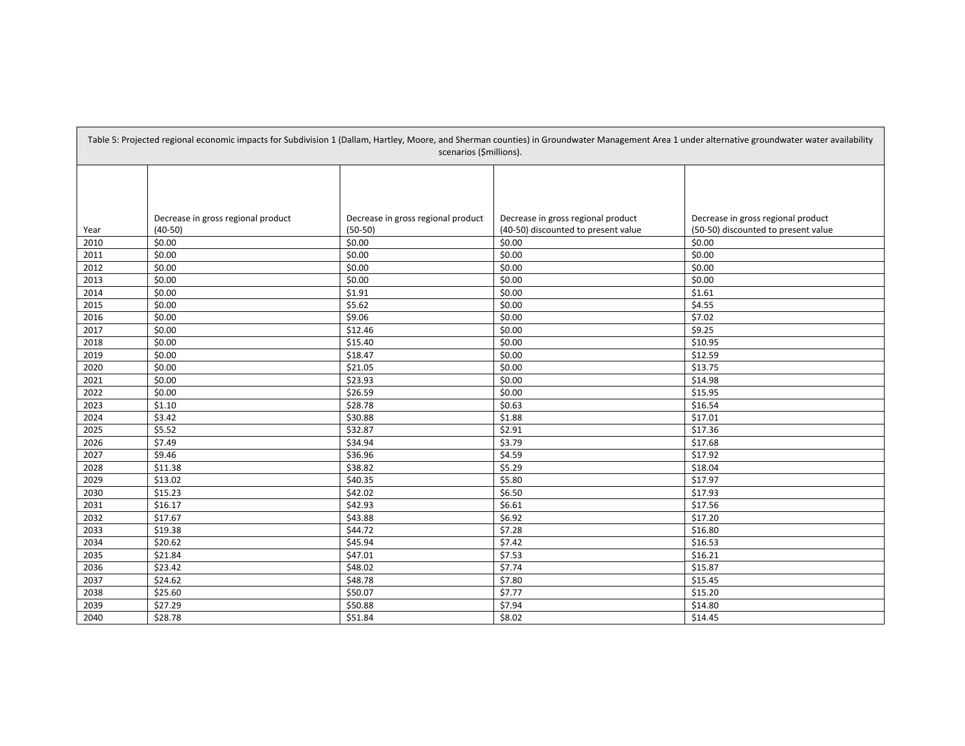| Table 5: Projected regional economic impacts for Subdivision 1 (Dallam, Hartley, Moore, and Sherman counties) in Groundwater Management Area 1 under alternative groundwater water availability<br>scenarios (\$millions). |                                    |                                    |                                     |                                     |  |  |
|----------------------------------------------------------------------------------------------------------------------------------------------------------------------------------------------------------------------------|------------------------------------|------------------------------------|-------------------------------------|-------------------------------------|--|--|
|                                                                                                                                                                                                                            |                                    |                                    |                                     |                                     |  |  |
|                                                                                                                                                                                                                            | Decrease in gross regional product | Decrease in gross regional product | Decrease in gross regional product  | Decrease in gross regional product  |  |  |
| Year                                                                                                                                                                                                                       | $(40-50)$                          | $(50-50)$                          | (40-50) discounted to present value | (50-50) discounted to present value |  |  |
| 2010                                                                                                                                                                                                                       | \$0.00                             | \$0.00                             | \$0.00                              | \$0.00                              |  |  |
| 2011                                                                                                                                                                                                                       | \$0.00                             | \$0.00                             | \$0.00                              | \$0.00                              |  |  |
| 2012                                                                                                                                                                                                                       | \$0.00<br>\$0.00                   | \$0.00                             | \$0.00<br>\$0.00                    | \$0.00                              |  |  |
| 2013                                                                                                                                                                                                                       |                                    | $\frac{1}{5}0.00$                  |                                     | \$0.00                              |  |  |
| 2014                                                                                                                                                                                                                       | \$0.00                             | \$1.91                             | \$0.00                              | \$1.61                              |  |  |
| 2015                                                                                                                                                                                                                       | \$0.00                             | \$5.62                             | \$0.00                              | \$4.55                              |  |  |
| 2016                                                                                                                                                                                                                       | \$0.00                             | \$9.06                             | \$0.00                              | \$7.02                              |  |  |
| 2017                                                                                                                                                                                                                       | \$0.00                             | \$12.46                            | \$0.00                              | \$9.25                              |  |  |
| 2018                                                                                                                                                                                                                       | \$0.00<br>\$0.00                   | \$15.40<br>\$18.47                 | \$0.00<br>\$0.00                    | \$10.95                             |  |  |
| 2019                                                                                                                                                                                                                       |                                    |                                    |                                     | \$12.59<br>\$13.75                  |  |  |
| 2020                                                                                                                                                                                                                       | \$0.00                             | \$21.05                            | \$0.00                              |                                     |  |  |
| 2021                                                                                                                                                                                                                       | \$0.00                             | \$23.93                            | \$0.00                              | \$14.98                             |  |  |
| 2022                                                                                                                                                                                                                       | \$0.00                             | \$26.59                            | \$0.00                              | \$15.95                             |  |  |
| 2023                                                                                                                                                                                                                       | \$1.10<br>\$3.42                   | \$28.78                            | \$0.63                              | \$16.54                             |  |  |
| 2024                                                                                                                                                                                                                       |                                    | \$30.88                            | \$1.88                              | \$17.01                             |  |  |
| 2025                                                                                                                                                                                                                       | \$5.52                             | \$32.87                            | \$2.91                              | \$17.36                             |  |  |
| 2026                                                                                                                                                                                                                       | \$7.49                             | \$34.94                            | \$3.79                              | \$17.68                             |  |  |
| 2027                                                                                                                                                                                                                       | \$9.46                             | \$36.96                            | \$4.59                              | \$17.92                             |  |  |
| 2028                                                                                                                                                                                                                       | \$11.38                            | \$38.82                            | \$5.29                              | \$18.04                             |  |  |
| 2029                                                                                                                                                                                                                       | \$13.02                            | \$40.35                            | \$5.80                              | \$17.97                             |  |  |
| 2030                                                                                                                                                                                                                       | \$15.23                            | \$42.02                            | \$6.50                              | \$17.93                             |  |  |
| 2031                                                                                                                                                                                                                       | \$16.17                            | \$42.93                            | \$6.61                              | \$17.56                             |  |  |
| 2032                                                                                                                                                                                                                       | \$17.67                            | \$43.88                            | \$6.92                              | \$17.20                             |  |  |
| 2033                                                                                                                                                                                                                       | \$19.38                            | \$44.72                            | \$7.28                              | \$16.80                             |  |  |
| 2034                                                                                                                                                                                                                       | \$20.62                            | \$45.94                            | \$7.42                              | \$16.53                             |  |  |
| 2035                                                                                                                                                                                                                       | \$21.84                            | \$47.01                            | \$7.53                              | \$16.21                             |  |  |
| 2036                                                                                                                                                                                                                       | \$23.42                            | \$48.02                            | \$7.74                              | \$15.87                             |  |  |
| 2037                                                                                                                                                                                                                       | \$24.62                            | \$48.78                            | \$7.80                              | \$15.45                             |  |  |
| 2038                                                                                                                                                                                                                       | \$25.60                            | \$50.07                            | \$7.77                              | \$15.20                             |  |  |
| 2039                                                                                                                                                                                                                       | \$27.29                            | \$50.88                            | \$7.94                              | \$14.80                             |  |  |
| 2040                                                                                                                                                                                                                       | \$28.78                            | \$51.84                            | \$8.02                              | \$14.45                             |  |  |